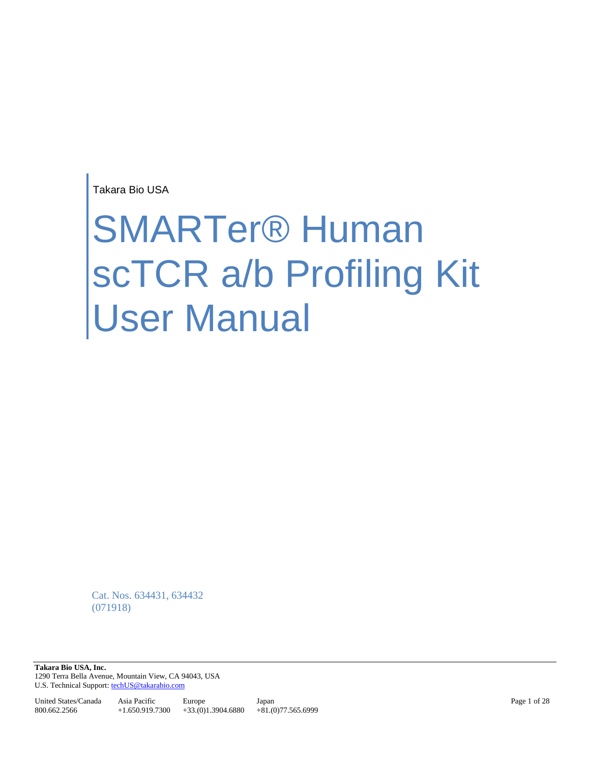Takara Bio USA

# SMARTer® Human scTCR a/b Profiling Kit User Manual

Cat. Nos. 634431, 634432 (071918)

**Takara Bio USA, Inc.**  1290 Terra Bella Avenue, Mountain View, CA 94043, USA U.S. Technical Support[: techUS@takarabio.com](mailto:techUS@takarabio.com)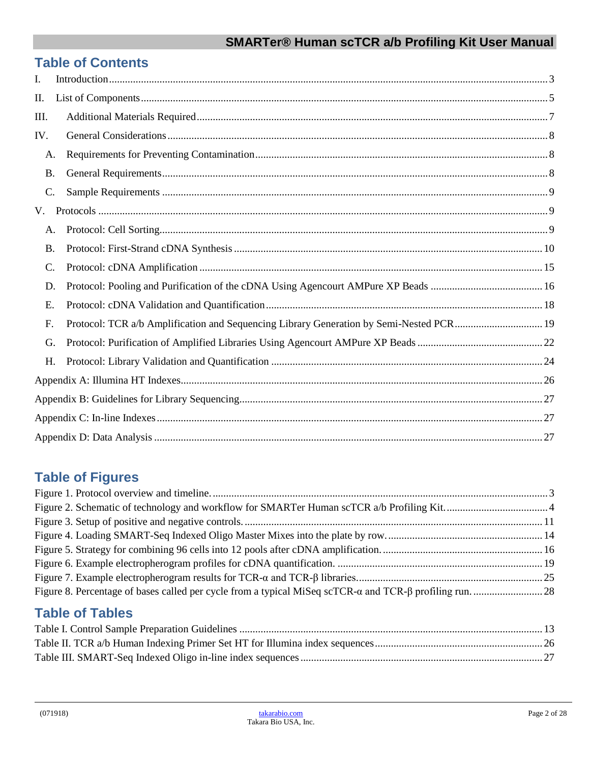# **Table of Contents**

| I.        |                                                                                         |  |
|-----------|-----------------------------------------------------------------------------------------|--|
| Π.        |                                                                                         |  |
| Ш.        |                                                                                         |  |
| IV.       |                                                                                         |  |
| A.        |                                                                                         |  |
| <b>B.</b> |                                                                                         |  |
| C.        |                                                                                         |  |
| V.        |                                                                                         |  |
| A.        |                                                                                         |  |
| <b>B.</b> |                                                                                         |  |
| C.        |                                                                                         |  |
| D.        |                                                                                         |  |
| E.        |                                                                                         |  |
| F.        | Protocol: TCR a/b Amplification and Sequencing Library Generation by Semi-Nested PCR 19 |  |
| G.        |                                                                                         |  |
| H.        |                                                                                         |  |
|           |                                                                                         |  |
|           |                                                                                         |  |
|           |                                                                                         |  |
|           |                                                                                         |  |

# **Table of Figures**

# **Table of Tables**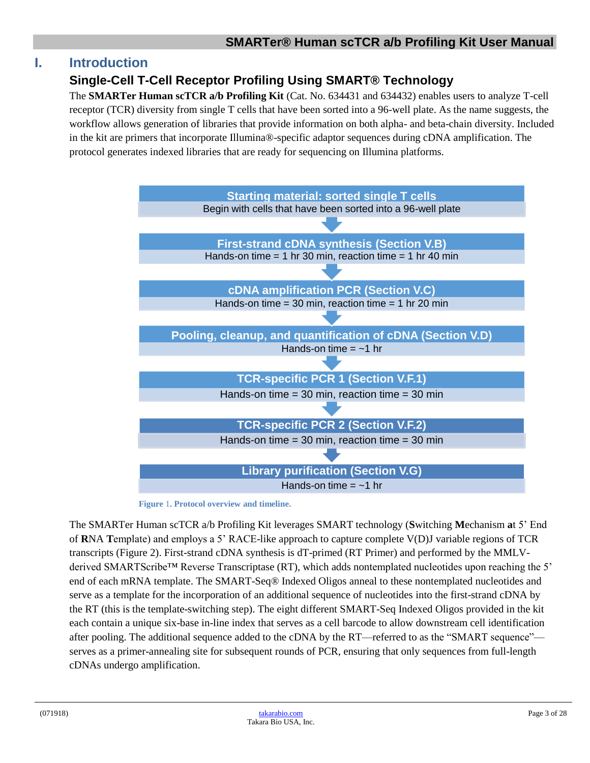# <span id="page-2-0"></span>**I. Introduction**

# **Single-Cell T-Cell Receptor Profiling Using SMART® Technology**

The **SMARTer Human scTCR a/b Profiling Kit** (Cat. No. 634431 and 634432) enables users to analyze T-cell receptor (TCR) diversity from single T cells that have been sorted into a 96-well plate. As the name suggests, the workflow allows generation of libraries that provide information on both alpha- and beta-chain diversity. Included in the kit are primers that incorporate Illumina®-specific adaptor sequences during cDNA amplification. The protocol generates indexed libraries that are ready for sequencing on Illumina platforms.



**Figure** 1**. Protocol overview and timeline.**

<span id="page-2-1"></span>The SMARTer Human scTCR a/b Profiling Kit leverages SMART technology (**S**witching **M**echanism **a**t 5' End of **R**NA **T**emplate) and employs a 5' RACE-like approach to capture complete V(D)J variable regions of TCR transcripts (Figure 2). First-strand cDNA synthesis is dT-primed (RT Primer) and performed by the MMLVderived SMARTScribe™ Reverse Transcriptase (RT), which adds nontemplated nucleotides upon reaching the 5' end of each mRNA template. The SMART-Seq® Indexed Oligos anneal to these nontemplated nucleotides and serve as a template for the incorporation of an additional sequence of nucleotides into the first-strand cDNA by the RT (this is the template-switching step). The eight different SMART-Seq Indexed Oligos provided in the kit each contain a unique six-base in-line index that serves as a cell barcode to allow downstream cell identification after pooling. The additional sequence added to the cDNA by the RT—referred to as the "SMART sequence" serves as a primer-annealing site for subsequent rounds of PCR, ensuring that only sequences from full-length cDNAs undergo amplification.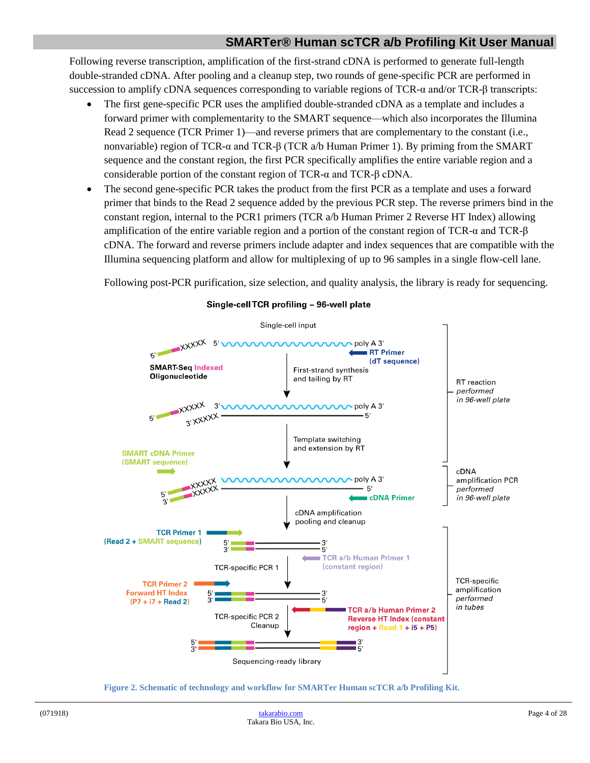Following reverse transcription, amplification of the first-strand cDNA is performed to generate full-length double-stranded cDNA. After pooling and a cleanup step, two rounds of gene-specific PCR are performed in succession to amplify cDNA sequences corresponding to variable regions of TCR-α and/or TCR-β transcripts:

- The first gene-specific PCR uses the amplified double-stranded cDNA as a template and includes a forward primer with complementarity to the SMART sequence—which also incorporates the Illumina Read 2 sequence (TCR Primer 1)—and reverse primers that are complementary to the constant (i.e., nonvariable) region of TCR-α and TCR-β (TCR a/b Human Primer 1). By priming from the SMART sequence and the constant region, the first PCR specifically amplifies the entire variable region and a considerable portion of the constant region of TCR-α and TCR-β cDNA.
- The second gene-specific PCR takes the product from the first PCR as a template and uses a forward primer that binds to the Read 2 sequence added by the previous PCR step. The reverse primers bind in the constant region, internal to the PCR1 primers (TCR a/b Human Primer 2 Reverse HT Index) allowing amplification of the entire variable region and a portion of the constant region of TCR-α and TCR-β cDNA. The forward and reverse primers include adapter and index sequences that are compatible with the Illumina sequencing platform and allow for multiplexing of up to 96 samples in a single flow-cell lane.

Following post-PCR purification, size selection, and quality analysis, the library is ready for sequencing.



#### Single-cell TCR profiling - 96-well plate

<span id="page-3-0"></span>**Figure 2. Schematic of technology and workflow for SMARTer Human scTCR a/b Profiling Kit.**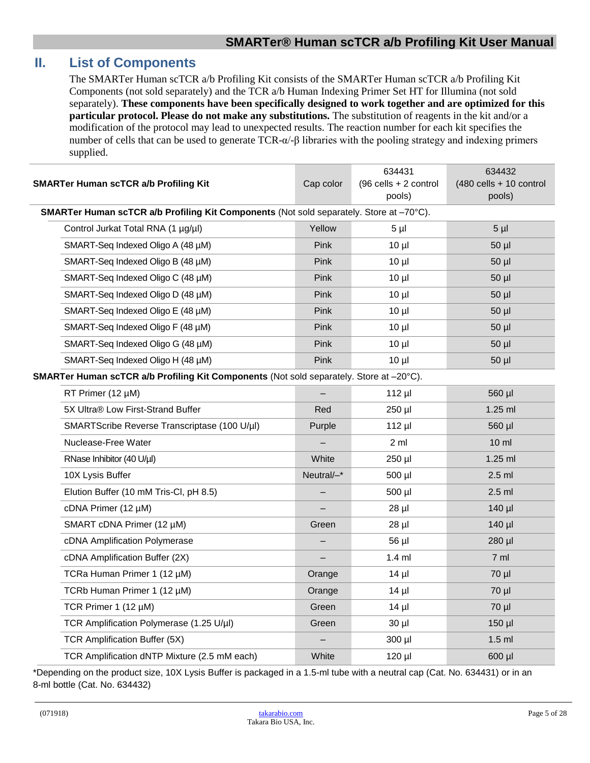# <span id="page-4-0"></span>**II. List of Components**

The SMARTer Human scTCR a/b Profiling Kit consists of the SMARTer Human scTCR a/b Profiling Kit Components (not sold separately) and the TCR a/b Human Indexing Primer Set HT for Illumina (not sold separately). **These components have been specifically designed to work together and are optimized for this particular protocol. Please do not make any substitutions.** The substitution of reagents in the kit and/or a modification of the protocol may lead to unexpected results. The reaction number for each kit specifies the number of cells that can be used to generate TCR-α/-β libraries with the pooling strategy and indexing primers supplied.

| <b>SMARTer Human scTCR a/b Profiling Kit</b> |                                                                                                | Cap color   | 634431<br>$(96$ cells + 2 control<br>pools) | 634432<br>$(480$ cells + 10 control<br>pools) |  |  |  |
|----------------------------------------------|------------------------------------------------------------------------------------------------|-------------|---------------------------------------------|-----------------------------------------------|--|--|--|
|                                              | <b>SMARTer Human scTCR a/b Profiling Kit Components (Not sold separately. Store at -70°C).</b> |             |                                             |                                               |  |  |  |
|                                              | Control Jurkat Total RNA (1 µg/µl)                                                             | Yellow      | 5 µl                                        | $5 \mu$                                       |  |  |  |
|                                              | SMART-Seq Indexed Oligo A (48 µM)                                                              | Pink        | $10 \mu$                                    | $50$ $\mu$                                    |  |  |  |
|                                              | SMART-Seq Indexed Oligo B (48 µM)                                                              | <b>Pink</b> | $10 \mu$                                    | $50$ $\mu$                                    |  |  |  |
|                                              | SMART-Seq Indexed Oligo C (48 µM)                                                              | <b>Pink</b> | $10 \mu$                                    | $50$ µl                                       |  |  |  |
|                                              | SMART-Seq Indexed Oligo D (48 µM)                                                              | <b>Pink</b> | $10 \mu$                                    | $50$ µl                                       |  |  |  |
|                                              | SMART-Seq Indexed Oligo E (48 µM)                                                              | Pink        | $10 \mu$                                    | $50$ µl                                       |  |  |  |
|                                              | SMART-Seq Indexed Oligo F (48 µM)                                                              | Pink        | $10 \mu$                                    | $50$ µl                                       |  |  |  |
|                                              | SMART-Seq Indexed Oligo G (48 µM)                                                              | Pink        | $10 \mu$                                    | $50$ $\mu$                                    |  |  |  |
|                                              | SMART-Seq Indexed Oligo H (48 µM)                                                              | Pink        | $10 \mu$                                    | $50$ $\mu$                                    |  |  |  |
|                                              | <b>SMARTer Human scTCR a/b Profiling Kit Components (Not sold separately. Store at -20°C).</b> |             |                                             |                                               |  |  |  |
|                                              | RT Primer (12 µM)                                                                              |             | $112$ µl                                    | 560 µl                                        |  |  |  |
|                                              | 5X Ultra® Low First-Strand Buffer                                                              | Red         | 250 µl                                      | $1.25$ ml                                     |  |  |  |
|                                              | SMARTScribe Reverse Transcriptase (100 U/µl)                                                   | Purple      | $112$ µl                                    | 560 µl                                        |  |  |  |
|                                              | Nuclease-Free Water                                                                            |             | 2 ml                                        | $10 \mathrm{m}$                               |  |  |  |
|                                              | RNase Inhibitor (40 U/µl)                                                                      | White       | 250 µl                                      | $1.25$ ml                                     |  |  |  |
|                                              | 10X Lysis Buffer                                                                               | Neutral/-*  | 500 µl                                      | $2.5$ ml                                      |  |  |  |
|                                              | Elution Buffer (10 mM Tris-CI, pH 8.5)                                                         |             | 500 µl                                      | $2.5$ ml                                      |  |  |  |
|                                              | cDNA Primer (12 µM)                                                                            |             | $28$ µl                                     | 140 µl                                        |  |  |  |
|                                              | SMART cDNA Primer (12 µM)                                                                      | Green       | $28$ µl                                     | $140$ µl                                      |  |  |  |
|                                              | cDNA Amplification Polymerase                                                                  |             | 56 µl                                       | 280 µl                                        |  |  |  |
|                                              | cDNA Amplification Buffer (2X)                                                                 |             | $1.4$ ml                                    | 7 ml                                          |  |  |  |
|                                              | TCRa Human Primer 1 (12 µM)                                                                    | Orange      | $14$ µl                                     | 70 µl                                         |  |  |  |
|                                              | TCRb Human Primer 1 (12 µM)                                                                    | Orange      | $14$ µl                                     | 70 µl                                         |  |  |  |
|                                              | TCR Primer 1 (12 µM)                                                                           | Green       | $14$ µl                                     | 70 µl                                         |  |  |  |
|                                              | TCR Amplification Polymerase (1.25 U/µl)                                                       | Green       | $30$ $\mu$                                  | $150$ µl                                      |  |  |  |
|                                              | <b>TCR Amplification Buffer (5X)</b>                                                           |             | 300 µl                                      | 1.5 <sub>m</sub>                              |  |  |  |
|                                              | TCR Amplification dNTP Mixture (2.5 mM each)                                                   | White       | 120 µl                                      | 600 µl                                        |  |  |  |

\*Depending on the product size, 10X Lysis Buffer is packaged in a 1.5-ml tube with a neutral cap (Cat. No. 634431) or in an 8-ml bottle (Cat. No. 634432)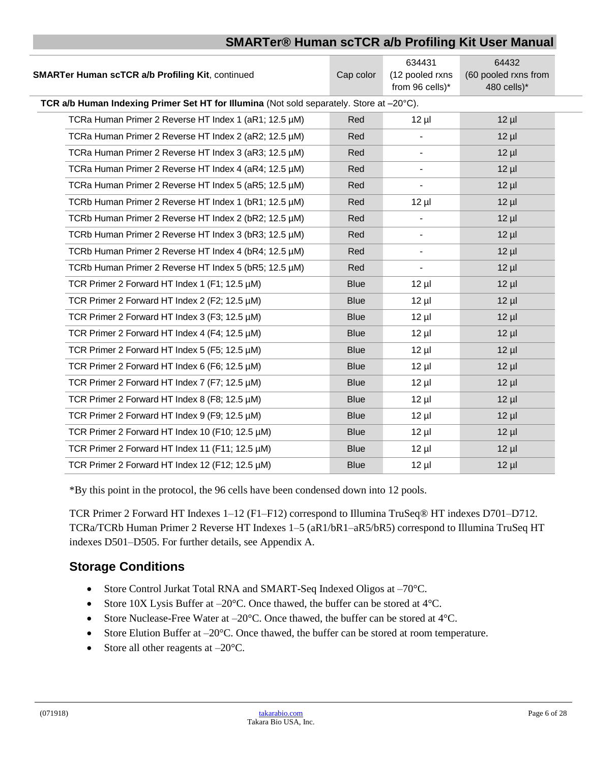| <b>SMARTer Human scTCR a/b Profiling Kit, continued</b>                                  | Cap color   | 634431<br>(12 pooled rxns<br>from 96 cells)* | 64432<br>(60 pooled rxns from<br>480 cells)* |
|------------------------------------------------------------------------------------------|-------------|----------------------------------------------|----------------------------------------------|
| TCR a/b Human Indexing Primer Set HT for Illumina (Not sold separately. Store at -20°C). |             |                                              |                                              |
| TCRa Human Primer 2 Reverse HT Index 1 (aR1; 12.5 µM)                                    | Red         | $12 \mu$                                     | $12 \mu$                                     |
| TCRa Human Primer 2 Reverse HT Index 2 (aR2; 12.5 µM)                                    | Red         |                                              | $12 \mu$                                     |
| TCRa Human Primer 2 Reverse HT Index 3 (aR3; 12.5 µM)                                    | Red         | $\overline{\phantom{a}}$                     | $12 \mu$                                     |
| TCRa Human Primer 2 Reverse HT Index 4 (aR4; 12.5 µM)                                    | Red         |                                              | $12 \mu$                                     |
| TCRa Human Primer 2 Reverse HT Index 5 (aR5; 12.5 µM)                                    | Red         |                                              | $12 \mu$                                     |
| TCRb Human Primer 2 Reverse HT Index 1 (bR1; 12.5 µM)                                    | Red         | $12 \mu$                                     | $12 \mu$                                     |
| TCRb Human Primer 2 Reverse HT Index 2 (bR2; 12.5 µM)                                    | Red         |                                              | $12 \mu$                                     |
| TCRb Human Primer 2 Reverse HT Index 3 (bR3; 12.5 µM)                                    | Red         |                                              | $12 \mu$                                     |
| TCRb Human Primer 2 Reverse HT Index 4 (bR4; 12.5 µM)                                    | Red         | $\overline{\phantom{a}}$                     | $12 \mu$                                     |
| TCRb Human Primer 2 Reverse HT Index 5 (bR5; 12.5 µM)                                    | Red         | $\overline{\phantom{a}}$                     | $12 \mu$                                     |
| TCR Primer 2 Forward HT Index 1 (F1; 12.5 µM)                                            | <b>Blue</b> | $12 \mu$                                     | $12 \mu$                                     |
| TCR Primer 2 Forward HT Index 2 (F2; 12.5 µM)                                            | <b>Blue</b> | $12 \mu$                                     | $12 \mu$                                     |
| TCR Primer 2 Forward HT Index 3 (F3; 12.5 µM)                                            | <b>Blue</b> | $12 \mu$                                     | $12 \mu$                                     |
| TCR Primer 2 Forward HT Index 4 (F4; 12.5 µM)                                            | <b>Blue</b> | $12 \mu$                                     | $12 \mu$                                     |
| TCR Primer 2 Forward HT Index 5 (F5; 12.5 µM)                                            | <b>Blue</b> | $12 \mu$                                     | $12 \mu$                                     |
| TCR Primer 2 Forward HT Index 6 (F6; 12.5 µM)                                            | <b>Blue</b> | $12 \mu$                                     | $12 \mu$                                     |
| TCR Primer 2 Forward HT Index 7 (F7; 12.5 µM)                                            | <b>Blue</b> | $12 \mu$                                     | $12 \mu$                                     |
| TCR Primer 2 Forward HT Index 8 (F8; 12.5 µM)                                            | <b>Blue</b> | $12 \mu$                                     | $12 \mu$                                     |
| TCR Primer 2 Forward HT Index 9 (F9; 12.5 µM)                                            | <b>Blue</b> | $12 \mu$                                     | $12 \mu$                                     |
| TCR Primer 2 Forward HT Index 10 (F10; 12.5 µM)                                          | <b>Blue</b> | $12 \mu$                                     | $12 \mu$                                     |
| TCR Primer 2 Forward HT Index 11 (F11; 12.5 µM)                                          | <b>Blue</b> | $12 \mu$                                     | $12 \mu$                                     |
| TCR Primer 2 Forward HT Index 12 (F12; 12.5 µM)                                          | <b>Blue</b> | $12 \mu$                                     | $12 \mu$                                     |

\*By this point in the protocol, the 96 cells have been condensed down into 12 pools.

TCR Primer 2 Forward HT Indexes 1–12 (F1–F12) correspond to Illumina TruSeq® HT indexes D701–D712. TCRa/TCRb Human Primer 2 Reverse HT Indexes 1–5 (aR1/bR1–aR5/bR5) correspond to Illumina TruSeq HT indexes D501–D505. For further details, see Appendix A.

# **Storage Conditions**

- Store Control Jurkat Total RNA and SMART-Seq Indexed Oligos at -70°C.
- Store 10X Lysis Buffer at  $-20^{\circ}$ C. Once thawed, the buffer can be stored at 4°C.
- Store Nuclease-Free Water at  $-20^{\circ}$ C. Once thawed, the buffer can be stored at  $4^{\circ}$ C.
- Store Elution Buffer at  $-20^{\circ}$ C. Once thawed, the buffer can be stored at room temperature.
- Store all other reagents at  $-20^{\circ}$ C.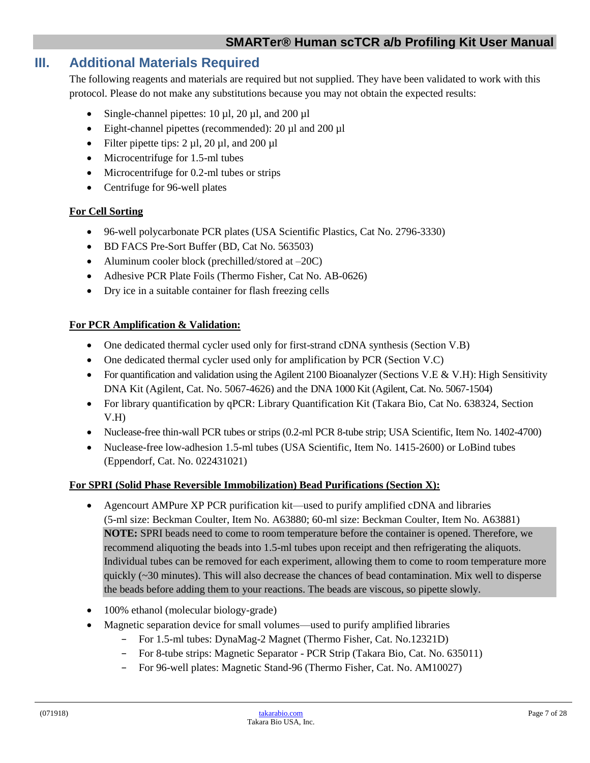# <span id="page-6-0"></span>**III. Additional Materials Required**

The following reagents and materials are required but not supplied. They have been validated to work with this protocol. Please do not make any substitutions because you may not obtain the expected results:

- Single-channel pipettes:  $10 \mu l$ ,  $20 \mu l$ , and  $200 \mu l$
- Eight-channel pipettes (recommended): 20 µl and 200 µl
- Filter pipette tips:  $2 \mu l$ ,  $20 \mu l$ , and  $200 \mu l$
- Microcentrifuge for 1.5-ml tubes
- Microcentrifuge for 0.2-ml tubes or strips
- Centrifuge for 96-well plates

#### **For Cell Sorting**

- 96-well polycarbonate PCR plates (USA Scientific Plastics, Cat No. 2796-3330)
- BD FACS Pre-Sort Buffer (BD, Cat No. 563503)
- Aluminum cooler block (prechilled/stored at  $-20C$ )
- Adhesive PCR Plate Foils (Thermo Fisher, Cat No. AB-0626)
- Dry ice in a suitable container for flash freezing cells

#### **For PCR Amplification & Validation:**

- One dedicated thermal cycler used only for first-strand cDNA synthesis (Section V.B)
- One dedicated thermal cycler used only for amplification by PCR (Section V.C)
- For quantification and validation using the Agilent 2100 Bioanalyzer (Sections V.E & V.H): High Sensitivity DNA Kit (Agilent, Cat. No. 5067-4626) and the DNA 1000 Kit (Agilent, Cat. No. 5067-1504)
- For library quantification by qPCR: Library Quantification Kit (Takara Bio, Cat No. 638324, Section V.H)
- Nuclease-free thin-wall PCR tubes or strips (0.2-ml PCR 8-tube strip; USA Scientific, Item No. 1402-4700)
- Nuclease-free low-adhesion 1.5-ml tubes (USA Scientific, Item No. 1415-2600) or LoBind tubes (Eppendorf, Cat. No. 022431021)

#### **For SPRI (Solid Phase Reversible Immobilization) Bead Purifications (Section X):**

- Agencourt AMPure XP PCR purification kit—used to purify amplified cDNA and libraries (5-ml size: Beckman Coulter, Item No. A63880; 60-ml size: Beckman Coulter, Item No. A63881) **NOTE:** SPRI beads need to come to room temperature before the container is opened. Therefore, we recommend aliquoting the beads into 1.5-ml tubes upon receipt and then refrigerating the aliquots. Individual tubes can be removed for each experiment, allowing them to come to room temperature more quickly (~30 minutes). This will also decrease the chances of bead contamination. Mix well to disperse the beads before adding them to your reactions. The beads are viscous, so pipette slowly.
- 100% ethanol (molecular biology-grade)
- Magnetic separation device for small volumes—used to purify amplified libraries
	- − For 1.5-ml tubes: DynaMag-2 Magnet (Thermo Fisher, Cat. No.12321D)
	- − For 8-tube strips: Magnetic Separator PCR Strip (Takara Bio, Cat. No. 635011)
	- − For 96-well plates: Magnetic Stand-96 (Thermo Fisher, Cat. No. AM10027)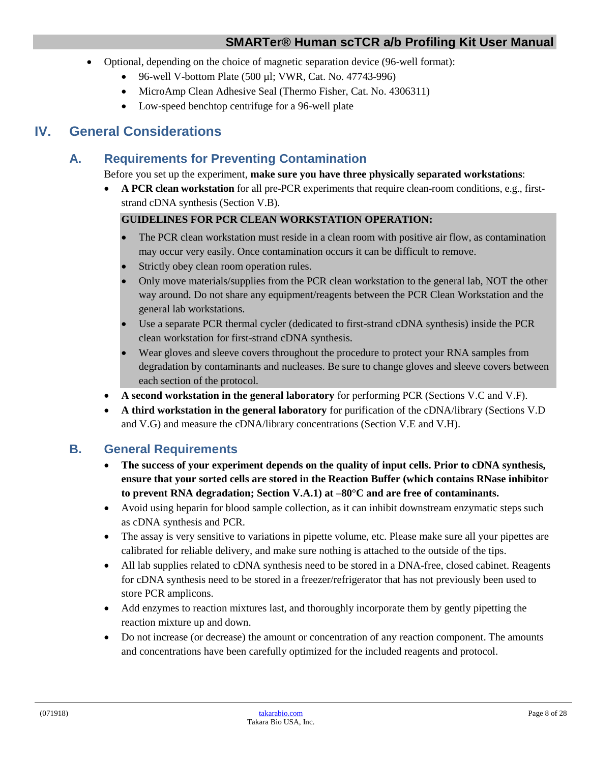- Optional, depending on the choice of magnetic separation device (96-well format):
	- 96-well V-bottom Plate (500  $\mu$ l; VWR, Cat. No. 47743-996)
	- MicroAmp Clean Adhesive Seal (Thermo Fisher, Cat. No. 4306311)
	- Low-speed benchtop centrifuge for a 96-well plate

# <span id="page-7-1"></span><span id="page-7-0"></span>**IV. General Considerations**

# **A. Requirements for Preventing Contamination**

Before you set up the experiment, **make sure you have three physically separated workstations**:

• **A PCR clean workstation** for all pre-PCR experiments that require clean-room conditions, e.g., firststrand cDNA synthesis (Section V.B).

## **GUIDELINES FOR PCR CLEAN WORKSTATION OPERATION:**

- The PCR clean workstation must reside in a clean room with positive air flow, as contamination may occur very easily. Once contamination occurs it can be difficult to remove.
- Strictly obey clean room operation rules.
- Only move materials/supplies from the PCR clean workstation to the general lab, NOT the other way around. Do not share any equipment/reagents between the PCR Clean Workstation and the general lab workstations.
- Use a separate PCR thermal cycler (dedicated to first-strand cDNA synthesis) inside the PCR clean workstation for first-strand cDNA synthesis.
- Wear gloves and sleeve covers throughout the procedure to protect your RNA samples from degradation by contaminants and nucleases. Be sure to change gloves and sleeve covers between each section of the protocol.
- **A second workstation in the general laboratory** for performing PCR (Sections V.C and V.F).
- **A third workstation in the general laboratory** for purification of the cDNA/library (Sections V.D and V.G) and measure the cDNA/library concentrations (Section V.E and V.H).

# <span id="page-7-2"></span>**B. General Requirements**

- **The success of your experiment depends on the quality of input cells. Prior to cDNA synthesis, ensure that your sorted cells are stored in the Reaction Buffer (which contains RNase inhibitor to prevent RNA degradation; Section V.A.1) at –80°C and are free of contaminants.**
- Avoid using heparin for blood sample collection, as it can inhibit downstream enzymatic steps such as cDNA synthesis and PCR.
- The assay is very sensitive to variations in pipette volume, etc. Please make sure all your pipettes are calibrated for reliable delivery, and make sure nothing is attached to the outside of the tips.
- All lab supplies related to cDNA synthesis need to be stored in a DNA-free, closed cabinet. Reagents for cDNA synthesis need to be stored in a freezer/refrigerator that has not previously been used to store PCR amplicons.
- Add enzymes to reaction mixtures last, and thoroughly incorporate them by gently pipetting the reaction mixture up and down.
- Do not increase (or decrease) the amount or concentration of any reaction component. The amounts and concentrations have been carefully optimized for the included reagents and protocol.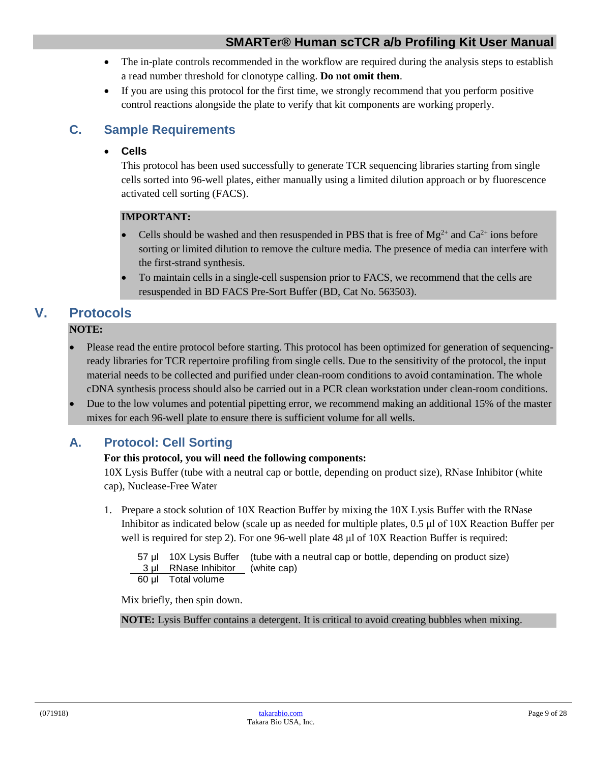- The in-plate controls recommended in the workflow are required during the analysis steps to establish a read number threshold for clonotype calling. **Do not omit them**.
- If you are using this protocol for the first time, we strongly recommend that you perform positive control reactions alongside the plate to verify that kit components are working properly.

# <span id="page-8-0"></span>**C. Sample Requirements**

# • **Cells**

This protocol has been used successfully to generate TCR sequencing libraries starting from single cells sorted into 96-well plates, either manually using a limited dilution approach or by fluorescence activated cell sorting (FACS).

# **IMPORTANT:**

- Cells should be washed and then resuspended in PBS that is free of  $Mg^{2+}$  and  $Ca^{2+}$  ions before sorting or limited dilution to remove the culture media. The presence of media can interfere with the first-strand synthesis.
- To maintain cells in a single-cell suspension prior to FACS, we recommend that the cells are resuspended in BD FACS Pre-Sort Buffer (BD, Cat No. 563503).

# <span id="page-8-1"></span>**V. Protocols**

## **NOTE:**

- Please read the entire protocol before starting. This protocol has been optimized for generation of sequencingready libraries for TCR repertoire profiling from single cells. Due to the sensitivity of the protocol, the input material needs to be collected and purified under clean-room conditions to avoid contamination. The whole cDNA synthesis process should also be carried out in a PCR clean workstation under clean-room conditions.
- Due to the low volumes and potential pipetting error, we recommend making an additional 15% of the master mixes for each 96-well plate to ensure there is sufficient volume for all wells.

# <span id="page-8-2"></span>**A. Protocol: Cell Sorting**

## **For this protocol, you will need the following components:**

10X Lysis Buffer (tube with a neutral cap or bottle, depending on product size), RNase Inhibitor (white cap), Nuclease-Free Water

1. Prepare a stock solution of 10X Reaction Buffer by mixing the 10X Lysis Buffer with the RNase Inhibitor as indicated below (scale up as needed for multiple plates, 0.5 μl of 10X Reaction Buffer per well is required for step 2). For one 96-well plate 48 μl of 10X Reaction Buffer is required:

|                                  | 57 µl 10X Lysis Buffer (tube with a neutral cap or bottle, depending on product size) |
|----------------------------------|---------------------------------------------------------------------------------------|
| 3 µl RNase Inhibitor (white cap) |                                                                                       |
|                                  |                                                                                       |

60 μl Total volume

Mix briefly, then spin down.

**NOTE:** Lysis Buffer contains a detergent. It is critical to avoid creating bubbles when mixing.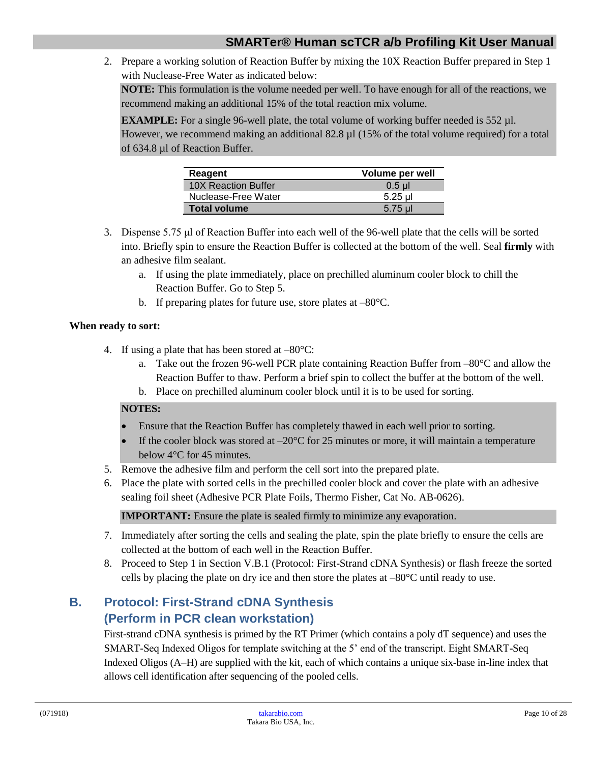2. Prepare a working solution of Reaction Buffer by mixing the 10X Reaction Buffer prepared in Step 1 with Nuclease-Free Water as indicated below:

**NOTE:** This formulation is the volume needed per well. To have enough for all of the reactions, we recommend making an additional 15% of the total reaction mix volume.

**EXAMPLE:** For a single 96-well plate, the total volume of working buffer needed is 552 µl.

However, we recommend making an additional 82.8 µl (15% of the total volume required) for a total of 634.8 µl of Reaction Buffer.

| Reagent             | Volume per well |
|---------------------|-----------------|
| 10X Reaction Buffer | $0.5$ µ         |
| Nuclease-Free Water | 5.25 ul         |
| <b>Total volume</b> | 5.75 ul         |

- 3. Dispense 5.75 μl of Reaction Buffer into each well of the 96-well plate that the cells will be sorted into. Briefly spin to ensure the Reaction Buffer is collected at the bottom of the well. Seal **firmly** with an adhesive film sealant.
	- a. If using the plate immediately, place on prechilled aluminum cooler block to chill the Reaction Buffer. Go to Step 5.
	- b. If preparing plates for future use, store plates at –80°C.

#### **When ready to sort:**

- 4. If using a plate that has been stored at –80°C:
	- a. Take out the frozen 96-well PCR plate containing Reaction Buffer from  $-80^{\circ}$ C and allow the Reaction Buffer to thaw. Perform a brief spin to collect the buffer at the bottom of the well.
	- b. Place on prechilled aluminum cooler block until it is to be used for sorting.

## **NOTES:**

- Ensure that the Reaction Buffer has completely thawed in each well prior to sorting.
- If the cooler block was stored at  $-20^{\circ}$ C for 25 minutes or more, it will maintain a temperature below 4°C for 45 minutes.
- 5. Remove the adhesive film and perform the cell sort into the prepared plate.
- 6. Place the plate with sorted cells in the prechilled cooler block and cover the plate with an adhesive sealing foil sheet (Adhesive PCR Plate Foils, Thermo Fisher, Cat No. AB-0626).

**IMPORTANT:** Ensure the plate is sealed firmly to minimize any evaporation.

- 7. Immediately after sorting the cells and sealing the plate, spin the plate briefly to ensure the cells are collected at the bottom of each well in the Reaction Buffer.
- 8. Proceed to Step 1 in Section V.B.1 (Protocol: First-Strand cDNA Synthesis) or flash freeze the sorted cells by placing the plate on dry ice and then store the plates at –80°C until ready to use.

# <span id="page-9-0"></span>**B. Protocol: First-Strand cDNA Synthesis (Perform in PCR clean workstation)**

First-strand cDNA synthesis is primed by the RT Primer (which contains a poly dT sequence) and uses the SMART-Seq Indexed Oligos for template switching at the 5' end of the transcript. Eight SMART-Seq Indexed Oligos (A–H) are supplied with the kit, each of which contains a unique six-base in-line index that allows cell identification after sequencing of the pooled cells.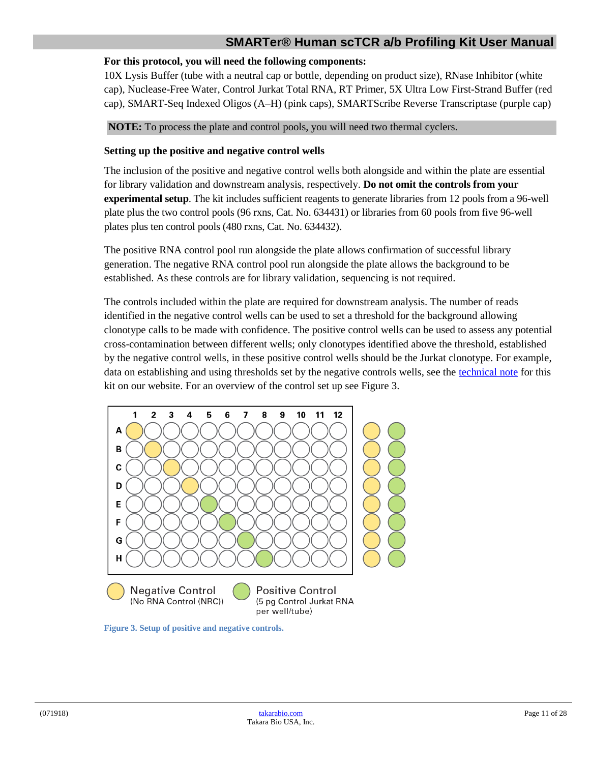#### **For this protocol, you will need the following components:**

10X Lysis Buffer (tube with a neutral cap or bottle, depending on product size), RNase Inhibitor (white cap), Nuclease-Free Water, Control Jurkat Total RNA, RT Primer, 5X Ultra Low First-Strand Buffer (red cap), SMART-Seq Indexed Oligos (A–H) (pink caps), SMARTScribe Reverse Transcriptase (purple cap)

**NOTE:** To process the plate and control pools, you will need two thermal cyclers.

#### **Setting up the positive and negative control wells**

The inclusion of the positive and negative control wells both alongside and within the plate are essential for library validation and downstream analysis, respectively. **Do not omit the controls from your experimental setup**. The kit includes sufficient reagents to generate libraries from 12 pools from a 96-well plate plus the two control pools (96 rxns, Cat. No. 634431) or libraries from 60 pools from five 96-well plates plus ten control pools (480 rxns, Cat. No. 634432).

The positive RNA control pool run alongside the plate allows confirmation of successful library generation. The negative RNA control pool run alongside the plate allows the background to be established. As these controls are for library validation, sequencing is not required.

The controls included within the plate are required for downstream analysis. The number of reads identified in the negative control wells can be used to set a threshold for the background allowing clonotype calls to be made with confidence. The positive control wells can be used to assess any potential cross-contamination between different wells; only clonotypes identified above the threshold, established by the negative control wells, in these positive control wells should be the Jurkat clonotype. For example, data on establishing and using thresholds set by the negative controls wells, see the [technical note](http://www.takarabio.com/human_scTCR_profiling) for this kit on our website. For an overview of the control set up see Figure 3.



<span id="page-10-0"></span>**Figure 3. Setup of positive and negative controls.**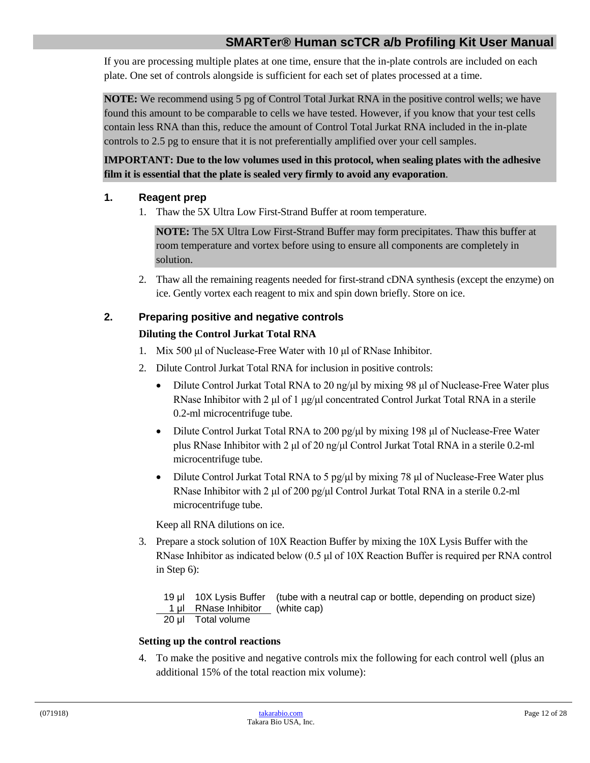If you are processing multiple plates at one time, ensure that the in-plate controls are included on each plate. One set of controls alongside is sufficient for each set of plates processed at a time.

**NOTE:** We recommend using 5 pg of Control Total Jurkat RNA in the positive control wells; we have found this amount to be comparable to cells we have tested. However, if you know that your test cells contain less RNA than this, reduce the amount of Control Total Jurkat RNA included in the in-plate controls to 2.5 pg to ensure that it is not preferentially amplified over your cell samples.

## **IMPORTANT: Due to the low volumes used in this protocol, when sealing plates with the adhesive film it is essential that the plate is sealed very firmly to avoid any evaporation**.

## **1. Reagent prep**

1. Thaw the 5X Ultra Low First-Strand Buffer at room temperature.

**NOTE:** The 5X Ultra Low First-Strand Buffer may form precipitates. Thaw this buffer at room temperature and vortex before using to ensure all components are completely in solution.

2. Thaw all the remaining reagents needed for first-strand cDNA synthesis (except the enzyme) on ice. Gently vortex each reagent to mix and spin down briefly. Store on ice.

# **2. Preparing positive and negative controls Diluting the Control Jurkat Total RNA**

- 1. Mix 500 μl of Nuclease-Free Water with 10 μl of RNase Inhibitor.
- 2. Dilute Control Jurkat Total RNA for inclusion in positive controls:
	- Dilute Control Jurkat Total RNA to 20 ng/μl by mixing 98 μl of Nuclease-Free Water plus RNase Inhibitor with 2  $\mu$  of 1  $\mu$ g/ $\mu$ l concentrated Control Jurkat Total RNA in a sterile 0.2-ml microcentrifuge tube.
	- Dilute Control Jurkat Total RNA to 200 pg/ $\mu$ l by mixing 198  $\mu$ l of Nuclease-Free Water plus RNase Inhibitor with 2 μl of 20 ng/μl Control Jurkat Total RNA in a sterile 0.2-ml microcentrifuge tube.
	- Dilute Control Jurkat Total RNA to 5 pg/μl by mixing 78 μl of Nuclease-Free Water plus RNase Inhibitor with 2 μl of 200 pg/μl Control Jurkat Total RNA in a sterile 0.2-ml microcentrifuge tube.

Keep all RNA dilutions on ice.

3. Prepare a stock solution of 10X Reaction Buffer by mixing the 10X Lysis Buffer with the RNase Inhibitor as indicated below (0.5 μl of 10X Reaction Buffer is required per RNA control in Step 6):

```
19 μl 10X Lysis Buffer (tube with a neutral cap or bottle, depending on product size)
 1 μl RNase Inhibitor (white cap)
20 μl Total volume
```
## **Setting up the control reactions**

4. To make the positive and negative controls mix the following for each control well (plus an additional 15% of the total reaction mix volume):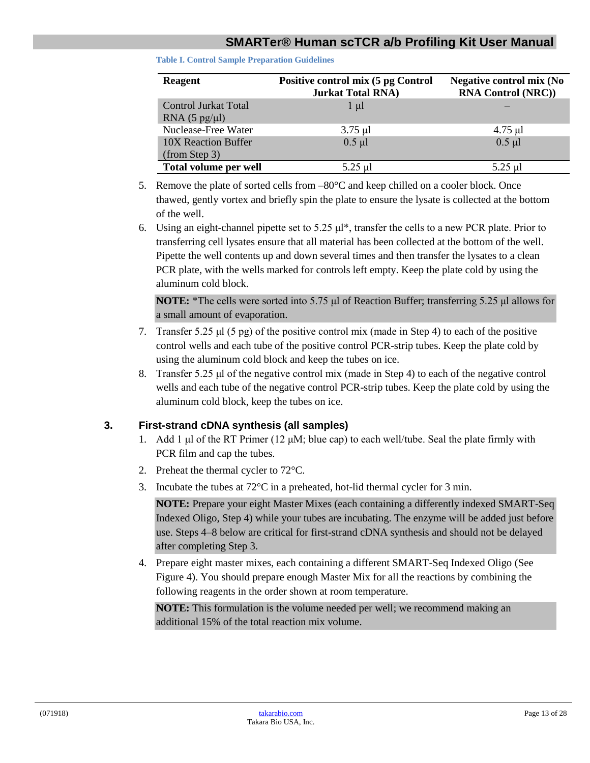<span id="page-12-0"></span>**Table I. Control Sample Preparation Guidelines**

| <b>Reagent</b>          | Positive control mix (5 pg Control<br><b>Jurkat Total RNA</b> ) | <b>Negative control mix (No</b><br><b>RNA Control (NRC))</b> |
|-------------------------|-----------------------------------------------------------------|--------------------------------------------------------------|
| Control Jurkat Total    | $1 \mu l$                                                       |                                                              |
| RNA $(5 \text{ pg/µl})$ |                                                                 |                                                              |
| Nuclease-Free Water     | $3.75 \mu l$                                                    | $4.75$ µl                                                    |
| 10X Reaction Buffer     | $0.5$ µl                                                        | $0.5$ µl                                                     |
| (from Step 3)           |                                                                 |                                                              |
| Total volume per well   | 5.25 µl                                                         | 5.25 ul                                                      |

- 5. Remove the plate of sorted cells from –80°C and keep chilled on a cooler block. Once thawed, gently vortex and briefly spin the plate to ensure the lysate is collected at the bottom of the well.
- 6. Using an eight-channel pipette set to 5.25 μl\*, transfer the cells to a new PCR plate. Prior to transferring cell lysates ensure that all material has been collected at the bottom of the well. Pipette the well contents up and down several times and then transfer the lysates to a clean PCR plate, with the wells marked for controls left empty. Keep the plate cold by using the aluminum cold block.

**NOTE:** \*The cells were sorted into 5.75 μl of Reaction Buffer; transferring 5.25 μl allows for a small amount of evaporation.

- 7. Transfer 5.25 μl (5 pg) of the positive control mix (made in Step 4) to each of the positive control wells and each tube of the positive control PCR-strip tubes. Keep the plate cold by using the aluminum cold block and keep the tubes on ice.
- 8. Transfer 5.25 μl of the negative control mix (made in Step 4) to each of the negative control wells and each tube of the negative control PCR-strip tubes. Keep the plate cold by using the aluminum cold block, keep the tubes on ice.

## **3. First-strand cDNA synthesis (all samples)**

- 1. Add 1  $\mu$ l of the RT Primer (12  $\mu$ M; blue cap) to each well/tube. Seal the plate firmly with PCR film and cap the tubes.
- 2. Preheat the thermal cycler to 72°C.
- 3. Incubate the tubes at 72°C in a preheated, hot-lid thermal cycler for 3 min.

**NOTE:** Prepare your eight Master Mixes (each containing a differently indexed SMART-Seq Indexed Oligo, Step 4) while your tubes are incubating. The enzyme will be added just before use. Steps 4–8 below are critical for first-strand cDNA synthesis and should not be delayed after completing Step 3.

4. Prepare eight master mixes, each containing a different SMART-Seq Indexed Oligo (See Figure 4). You should prepare enough Master Mix for all the reactions by combining the following reagents in the order shown at room temperature.

**NOTE:** This formulation is the volume needed per well; we recommend making an additional 15% of the total reaction mix volume.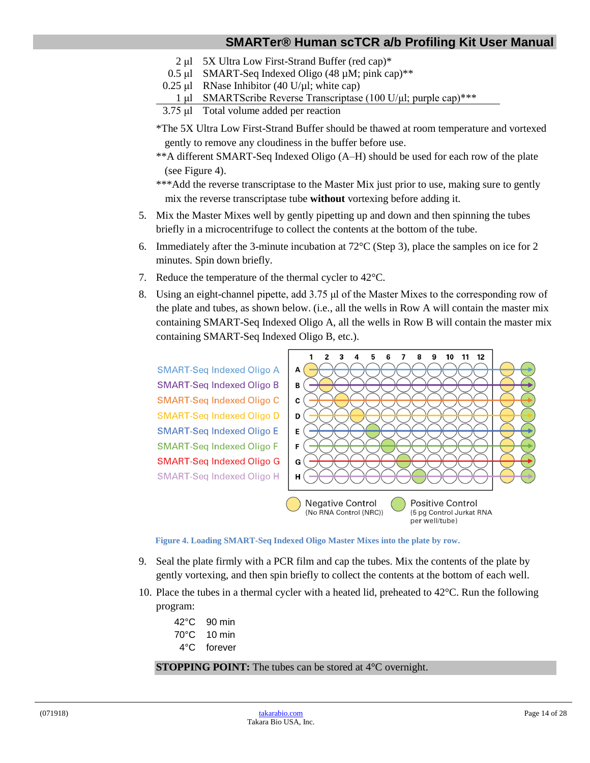- 2 μl 5X Ultra Low First-Strand Buffer (red cap)\*
- 0.5 μl SMART-Seq Indexed Oligo (48 µM; pink cap)\*\*
- $0.25 \mu$ l RNase Inhibitor (40 U/ $\mu$ l; white cap)
- 1 μl SMARTScribe Reverse Transcriptase (100 U/μl; purple cap)\*\*\*
- 3.75 μl Total volume added per reaction
- \*The 5X Ultra Low First-Strand Buffer should be thawed at room temperature and vortexed gently to remove any cloudiness in the buffer before use.
- \*\*A different SMART-Seq Indexed Oligo (A–H) should be used for each row of the plate (see Figure 4).
- \*\*\*Add the reverse transcriptase to the Master Mix just prior to use, making sure to gently mix the reverse transcriptase tube **without** vortexing before adding it.
- 5. Mix the Master Mixes well by gently pipetting up and down and then spinning the tubes briefly in a microcentrifuge to collect the contents at the bottom of the tube.
- 6. Immediately after the 3-minute incubation at 72°C (Step 3), place the samples on ice for 2 minutes. Spin down briefly.
- 7. Reduce the temperature of the thermal cycler to 42°C.
- 8. Using an eight-channel pipette, add 3.75 μl of the Master Mixes to the corresponding row of the plate and tubes, as shown below. (i.e., all the wells in Row A will contain the master mix containing SMART-Seq Indexed Oligo A, all the wells in Row B will contain the master mix containing SMART-Seq Indexed Oligo B, etc.).



**Figure 4. Loading SMART-Seq Indexed Oligo Master Mixes into the plate by row.**

- <span id="page-13-0"></span>9. Seal the plate firmly with a PCR film and cap the tubes. Mix the contents of the plate by gently vortexing, and then spin briefly to collect the contents at the bottom of each well.
- 10. Place the tubes in a thermal cycler with a heated lid, preheated to  $42^{\circ}$ C. Run the following program:

| 42°C | $90 \text{ min}$ |
|------|------------------|
| 70°C | $10 \text{ min}$ |
| 4°C  | forever          |

#### **STOPPING POINT:** The tubes can be stored at 4<sup>°</sup>C overnight.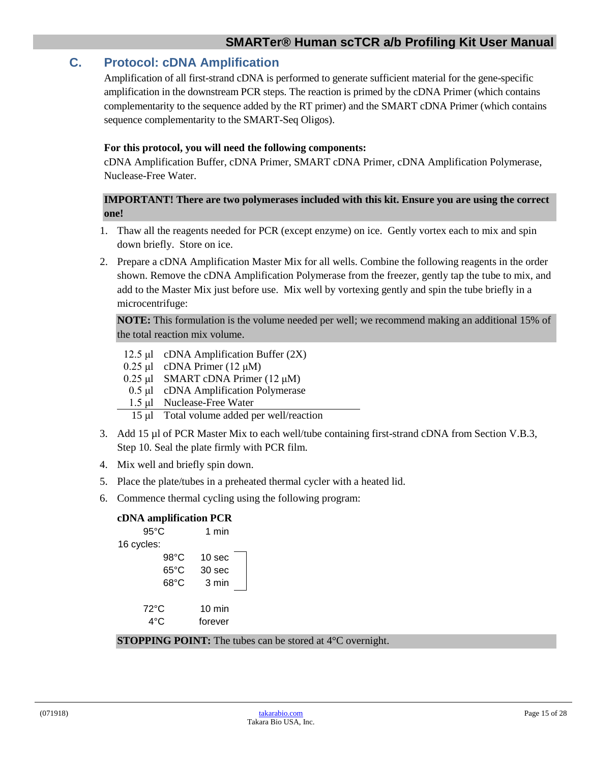# <span id="page-14-0"></span>**C. Protocol: cDNA Amplification**

Amplification of all first-strand cDNA is performed to generate sufficient material for the gene-specific amplification in the downstream PCR steps. The reaction is primed by the cDNA Primer (which contains complementarity to the sequence added by the RT primer) and the SMART cDNA Primer (which contains sequence complementarity to the SMART-Seq Oligos).

#### **For this protocol, you will need the following components:**

cDNA Amplification Buffer, cDNA Primer, SMART cDNA Primer, cDNA Amplification Polymerase, Nuclease-Free Water.

#### **IMPORTANT! There are two polymerases included with this kit. Ensure you are using the correct one!**

- 1. Thaw all the reagents needed for PCR (except enzyme) on ice. Gently vortex each to mix and spin down briefly. Store on ice.
- 2. Prepare a cDNA Amplification Master Mix for all wells. Combine the following reagents in the order shown. Remove the cDNA Amplification Polymerase from the freezer, gently tap the tube to mix, and add to the Master Mix just before use. Mix well by vortexing gently and spin the tube briefly in a microcentrifuge:

**NOTE:** This formulation is the volume needed per well; we recommend making an additional 15% of the total reaction mix volume.

- 12.5 μl cDNA Amplification Buffer (2X)
- 0.25 μl cDNA Primer (12 μM)
- 0.25 μl SMART cDNA Primer  $(12 \mu M)$
- 0.5 μl cDNA Amplification Polymerase
- 1.5 μl Nuclease-Free Water
	- 15 μl Total volume added per well/reaction
- 3. Add 15 µl of PCR Master Mix to each well/tube containing first-strand cDNA from Section V.B.3, Step 10. Seal the plate firmly with PCR film.
- 4. Mix well and briefly spin down.
- 5. Place the plate/tubes in a preheated thermal cycler with a heated lid.
- 6. Commence thermal cycling using the following program:

#### **cDNA amplification PCR**

|            | $95^{\circ}$ C        | 1 min                       |  |
|------------|-----------------------|-----------------------------|--|
| 16 cycles: |                       |                             |  |
|            | $98^{\circ}$ C        | 10 sec                      |  |
|            | $65^{\circ}$ C        | 30 sec                      |  |
|            | $68^{\circ}$ C        | 3 min                       |  |
|            | $72^{\circ}$ C<br>4°C | $10 \text{ min}$<br>forever |  |

**STOPPING POINT:** The tubes can be stored at 4°C overnight.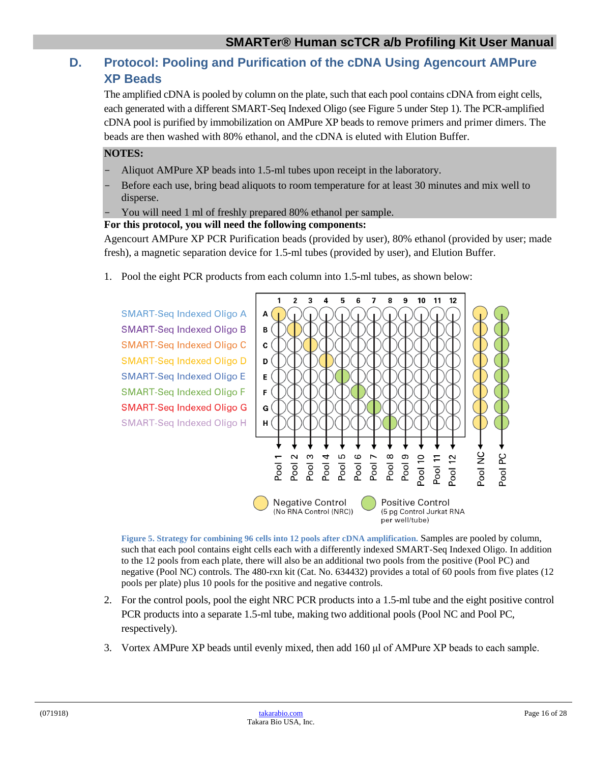# <span id="page-15-0"></span>**D. Protocol: Pooling and Purification of the cDNA Using Agencourt AMPure XP Beads**

The amplified cDNA is pooled by column on the plate, such that each pool contains cDNA from eight cells, each generated with a different SMART-Seq Indexed Oligo (see Figure 5 under Step 1). The PCR-amplified cDNA pool is purified by immobilization on AMPure XP beads to remove primers and primer dimers. The beads are then washed with 80% ethanol, and the cDNA is eluted with Elution Buffer.

#### **NOTES:**

- Aliquot AMPure XP beads into 1.5-ml tubes upon receipt in the laboratory.
- Before each use, bring bead aliquots to room temperature for at least 30 minutes and mix well to disperse.
- You will need 1 ml of freshly prepared 80% ethanol per sample.

#### **For this protocol, you will need the following components:**

Agencourt AMPure XP PCR Purification beads (provided by user), 80% ethanol (provided by user; made fresh), a magnetic separation device for 1.5-ml tubes (provided by user), and Elution Buffer.

1. Pool the eight PCR products from each column into 1.5-ml tubes, as shown below:



<span id="page-15-1"></span>**Figure 5. Strategy for combining 96 cells into 12 pools after cDNA amplification.** Samples are pooled by column, such that each pool contains eight cells each with a differently indexed SMART-Seq Indexed Oligo. In addition to the 12 pools from each plate, there will also be an additional two pools from the positive (Pool PC) and negative (Pool NC) controls. The 480-rxn kit (Cat. No. 634432) provides a total of 60 pools from five plates (12 pools per plate) plus 10 pools for the positive and negative controls.

- 2. For the control pools, pool the eight NRC PCR products into a 1.5-ml tube and the eight positive control PCR products into a separate 1.5-ml tube, making two additional pools (Pool NC and Pool PC, respectively).
- 3. Vortex AMPure XP beads until evenly mixed, then add 160 μl of AMPure XP beads to each sample.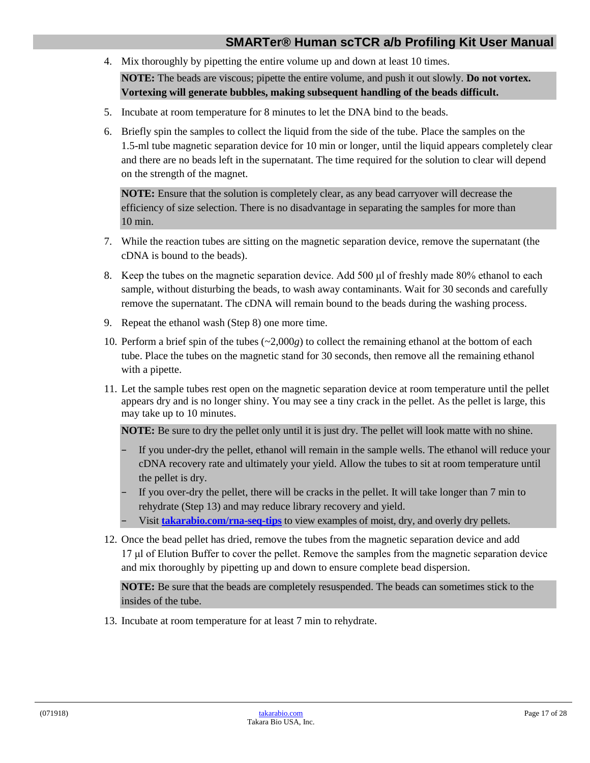4. Mix thoroughly by pipetting the entire volume up and down at least 10 times. **NOTE:** The beads are viscous; pipette the entire volume, and push it out slowly. **Do not vortex.** 

**Vortexing will generate bubbles, making subsequent handling of the beads difficult.**

- 5. Incubate at room temperature for 8 minutes to let the DNA bind to the beads.
- 6. Briefly spin the samples to collect the liquid from the side of the tube. Place the samples on the 1.5-ml tube magnetic separation device for 10 min or longer, until the liquid appears completely clear and there are no beads left in the supernatant. The time required for the solution to clear will depend on the strength of the magnet.

**NOTE:** Ensure that the solution is completely clear, as any bead carryover will decrease the efficiency of size selection. There is no disadvantage in separating the samples for more than 10 min.

- 7. While the reaction tubes are sitting on the magnetic separation device, remove the supernatant (the cDNA is bound to the beads).
- 8. Keep the tubes on the magnetic separation device. Add 500 μl of freshly made 80% ethanol to each sample, without disturbing the beads, to wash away contaminants. Wait for 30 seconds and carefully remove the supernatant. The cDNA will remain bound to the beads during the washing process.
- 9. Repeat the ethanol wash (Step 8) one more time.
- 10. Perform a brief spin of the tubes (~2,000*g*) to collect the remaining ethanol at the bottom of each tube. Place the tubes on the magnetic stand for 30 seconds, then remove all the remaining ethanol with a pipette.
- 11. Let the sample tubes rest open on the magnetic separation device at room temperature until the pellet appears dry and is no longer shiny. You may see a tiny crack in the pellet. As the pellet is large, this may take up to 10 minutes.

**NOTE:** Be sure to dry the pellet only until it is just dry. The pellet will look matte with no shine.

- If you under-dry the pellet, ethanol will remain in the sample wells. The ethanol will reduce your cDNA recovery rate and ultimately your yield. Allow the tubes to sit at room temperature until the pellet is dry.
- If you over-dry the pellet, there will be cracks in the pellet. It will take longer than 7 min to rehydrate (Step 13) and may reduce library recovery and yield.
- Visit **[takarabio.com/rna-seq-tips](https://www.takarabio.com/learning-centers/next-generation-sequencing/faqs-and-tips/get-smarter-tools-and-tips-for-rna-seq)** to view examples of moist, dry, and overly dry pellets.
- 12. Once the bead pellet has dried, remove the tubes from the magnetic separation device and add 17 μl of Elution Buffer to cover the pellet. Remove the samples from the magnetic separation device and mix thoroughly by pipetting up and down to ensure complete bead dispersion.

**NOTE:** Be sure that the beads are completely resuspended. The beads can sometimes stick to the insides of the tube.

13. Incubate at room temperature for at least 7 min to rehydrate.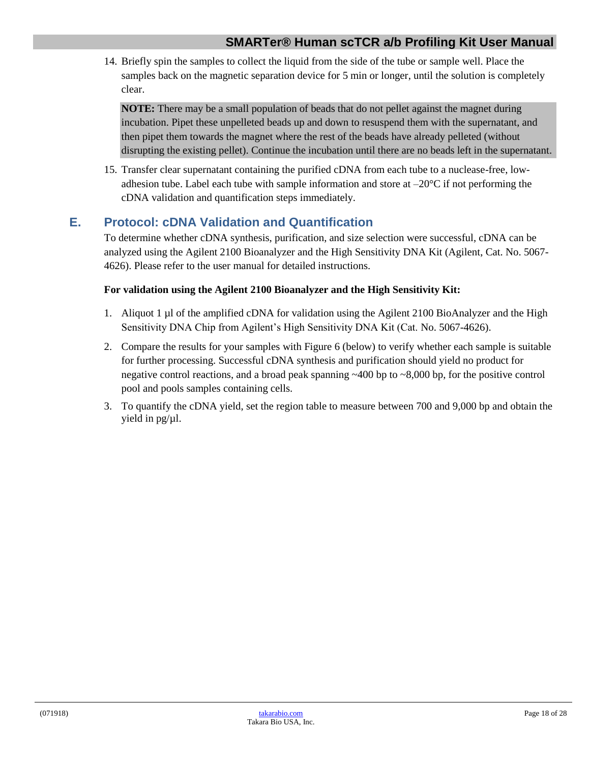14. Briefly spin the samples to collect the liquid from the side of the tube or sample well. Place the samples back on the magnetic separation device for 5 min or longer, until the solution is completely clear.

**NOTE:** There may be a small population of beads that do not pellet against the magnet during incubation. Pipet these unpelleted beads up and down to resuspend them with the supernatant, and then pipet them towards the magnet where the rest of the beads have already pelleted (without disrupting the existing pellet). Continue the incubation until there are no beads left in the supernatant.

15. Transfer clear supernatant containing the purified cDNA from each tube to a nuclease-free, lowadhesion tube. Label each tube with sample information and store at  $-20^{\circ}$ C if not performing the cDNA validation and quantification steps immediately.

# <span id="page-17-0"></span>**E. Protocol: cDNA Validation and Quantification**

To determine whether cDNA synthesis, purification, and size selection were successful, cDNA can be analyzed using the Agilent 2100 Bioanalyzer and the High Sensitivity DNA Kit (Agilent, Cat. No. 5067- 4626). Please refer to the user manual for detailed instructions.

#### **For validation using the Agilent 2100 Bioanalyzer and the High Sensitivity Kit:**

- 1. Aliquot 1 µl of the amplified cDNA for validation using the Agilent 2100 BioAnalyzer and the High Sensitivity DNA Chip from Agilent's High Sensitivity DNA Kit (Cat. No. 5067-4626).
- 2. Compare the results for your samples with Figure 6 (below) to verify whether each sample is suitable for further processing. Successful cDNA synthesis and purification should yield no product for negative control reactions, and a broad peak spanning  $\sim$ 400 bp to  $\sim$ 8,000 bp, for the positive control pool and pools samples containing cells.
- 3. To quantify the cDNA yield, set the region table to measure between 700 and 9,000 bp and obtain the yield in pg/µl.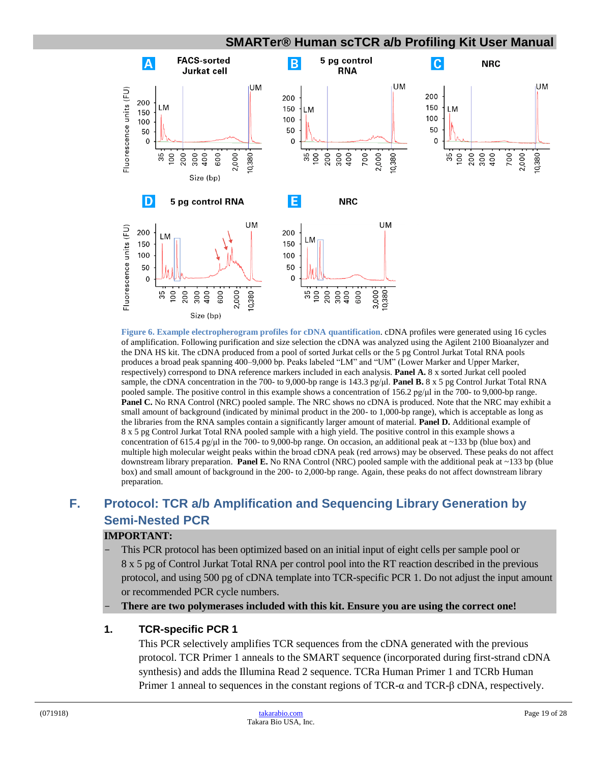<span id="page-18-1"></span>

**Figure 6. Example electropherogram profiles for cDNA quantification**. cDNA profiles were generated using 16 cycles of amplification. Following purification and size selection the cDNA was analyzed using the Agilent 2100 Bioanalyzer and the DNA HS kit. The cDNA produced from a pool of sorted Jurkat cells or the 5 pg Control Jurkat Total RNA pools produces a broad peak spanning 400–9,000 bp. Peaks labeled "LM" and "UM" (Lower Marker and Upper Marker, respectively) correspond to DNA reference markers included in each analysis. **Panel A.** 8 x sorted Jurkat cell pooled sample, the cDNA concentration in the 700- to 9,000-bp range is 143.3 pg/μl. **Panel B.** 8 x 5 pg Control Jurkat Total RNA pooled sample. The positive control in this example shows a concentration of 156.2 pg/μl in the 700- to 9,000-bp range. **Panel C.** No RNA Control (NRC) pooled sample. The NRC shows no cDNA is produced. Note that the NRC may exhibit a small amount of background (indicated by minimal product in the 200- to 1,000-bp range), which is acceptable as long as the libraries from the RNA samples contain a significantly larger amount of material. **Panel D.** Additional example of 8 x 5 pg Control Jurkat Total RNA pooled sample with a high yield. The positive control in this example shows a concentration of 615.4 pg/ $\mu$  in the 700- to 9,000-bp range. On occasion, an additional peak at ~133 bp (blue box) and multiple high molecular weight peaks within the broad cDNA peak (red arrows) may be observed. These peaks do not affect downstream library preparation. **Panel E.** No RNA Control (NRC) pooled sample with the additional peak at ~133 bp (blue box) and small amount of background in the 200- to 2,000-bp range. Again, these peaks do not affect downstream library preparation.

# <span id="page-18-0"></span>**F. Protocol: TCR a/b Amplification and Sequencing Library Generation by Semi-Nested PCR**

#### **IMPORTANT:**

- This PCR protocol has been optimized based on an initial input of eight cells per sample pool or 8 x 5 pg of Control Jurkat Total RNA per control pool into the RT reaction described in the previous protocol, and using 500 pg of cDNA template into TCR-specific PCR 1. Do not adjust the input amount or recommended PCR cycle numbers.
- **There are two polymerases included with this kit. Ensure you are using the correct one!**

#### **1. TCR-specific PCR 1**

This PCR selectively amplifies TCR sequences from the cDNA generated with the previous protocol. TCR Primer 1 anneals to the SMART sequence (incorporated during first-strand cDNA synthesis) and adds the Illumina Read 2 sequence. TCRa Human Primer 1 and TCRb Human Primer 1 anneal to sequences in the constant regions of TCR-α and TCR-β cDNA, respectively.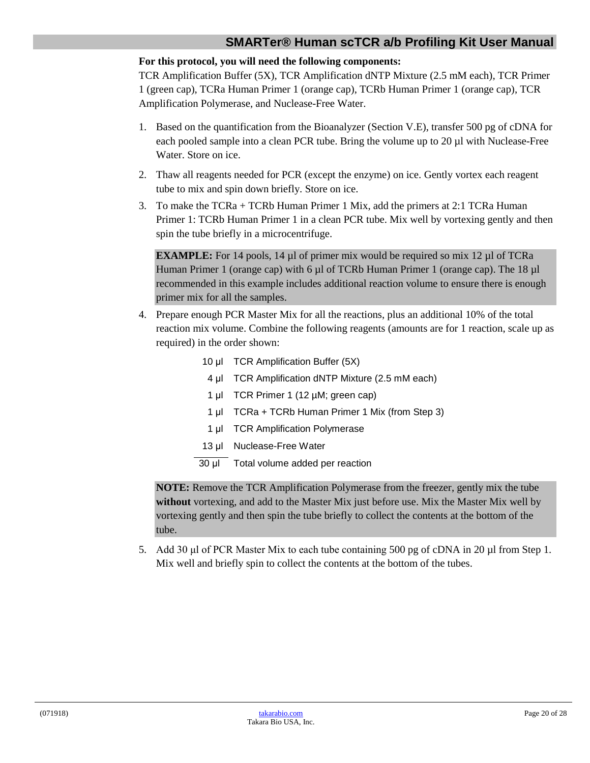#### **For this protocol, you will need the following components:**

TCR Amplification Buffer (5X), TCR Amplification dNTP Mixture (2.5 mM each), TCR Primer 1 (green cap), TCRa Human Primer 1 (orange cap), TCRb Human Primer 1 (orange cap), TCR Amplification Polymerase, and Nuclease-Free Water.

- 1. Based on the quantification from the Bioanalyzer (Section V.E), transfer 500 pg of cDNA for each pooled sample into a clean PCR tube. Bring the volume up to 20 µl with Nuclease-Free Water. Store on ice.
- 2. Thaw all reagents needed for PCR (except the enzyme) on ice. Gently vortex each reagent tube to mix and spin down briefly. Store on ice.
- 3. To make the TCRa + TCRb Human Primer 1 Mix, add the primers at 2:1 TCRa Human Primer 1: TCRb Human Primer 1 in a clean PCR tube. Mix well by vortexing gently and then spin the tube briefly in a microcentrifuge.

**EXAMPLE:** For 14 pools, 14 µl of primer mix would be required so mix 12 µl of TCRa Human Primer 1 (orange cap) with 6  $\mu$ l of TCRb Human Primer 1 (orange cap). The 18  $\mu$ l recommended in this example includes additional reaction volume to ensure there is enough primer mix for all the samples.

- 4. Prepare enough PCR Master Mix for all the reactions, plus an additional 10% of the total reaction mix volume. Combine the following reagents (amounts are for 1 reaction, scale up as required) in the order shown:
	- 10 μl TCR Amplification Buffer (5X)
	- 4 μl TCR Amplification dNTP Mixture (2.5 mM each)
	- 1 μl TCR Primer 1 (12 µM; green cap)
	- 1 μl TCRa + TCRb Human Primer 1 Mix (from Step 3)
	- 1 μl TCR Amplification Polymerase
	- 13 μl Nuclease-Free Water
	- 30 μl Total volume added per reaction

**NOTE:** Remove the TCR Amplification Polymerase from the freezer, gently mix the tube **without** vortexing, and add to the Master Mix just before use. Mix the Master Mix well by vortexing gently and then spin the tube briefly to collect the contents at the bottom of the tube.

5. Add 30 μl of PCR Master Mix to each tube containing 500 pg of cDNA in 20 µl from Step 1. Mix well and briefly spin to collect the contents at the bottom of the tubes.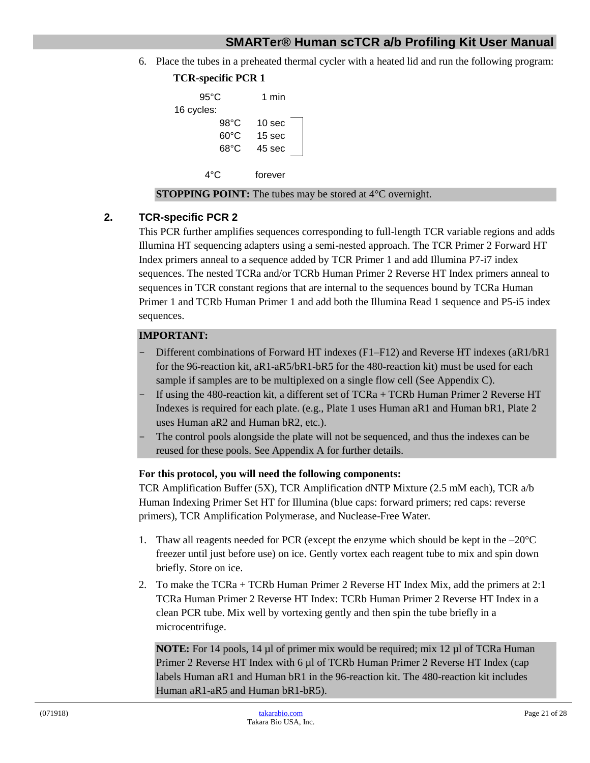6. Place the tubes in a preheated thermal cycler with a heated lid and run the following program:

```
TCR-specific PCR 1
    95°C 1 min
16 cycles:
       98°C 10 sec
       60°C 15 sec
       68°C 45 sec
     4°C forever
```
#### **STOPPING POINT:** The tubes may be stored at 4<sup>o</sup>C overnight.

#### **2. TCR-specific PCR 2**

This PCR further amplifies sequences corresponding to full-length TCR variable regions and adds Illumina HT sequencing adapters using a semi-nested approach. The TCR Primer 2 Forward HT Index primers anneal to a sequence added by TCR Primer 1 and add Illumina P7-i7 index sequences. The nested TCRa and/or TCRb Human Primer 2 Reverse HT Index primers anneal to sequences in TCR constant regions that are internal to the sequences bound by TCRa Human Primer 1 and TCRb Human Primer 1 and add both the Illumina Read 1 sequence and P5-i5 index sequences.

#### **IMPORTANT:**

- Different combinations of Forward HT indexes (F1–F12) and Reverse HT indexes (aR1/bR1 for the 96-reaction kit, aR1-aR5/bR1-bR5 for the 480-reaction kit) must be used for each sample if samples are to be multiplexed on a single flow cell (See Appendix C).
- If using the 480-reaction kit, a different set of TCRa + TCRb Human Primer 2 Reverse HT Indexes is required for each plate. (e.g., Plate 1 uses Human aR1 and Human bR1, Plate 2 uses Human aR2 and Human bR2, etc.).
- The control pools alongside the plate will not be sequenced, and thus the indexes can be reused for these pools. See Appendix A for further details.

#### **For this protocol, you will need the following components:**

TCR Amplification Buffer (5X), TCR Amplification dNTP Mixture (2.5 mM each), TCR a/b Human Indexing Primer Set HT for Illumina (blue caps: forward primers; red caps: reverse primers), TCR Amplification Polymerase, and Nuclease-Free Water.

- 1. Thaw all reagents needed for PCR (except the enzyme which should be kept in the  $-20^{\circ}$ C freezer until just before use) on ice. Gently vortex each reagent tube to mix and spin down briefly. Store on ice.
- 2. To make the  $TCRa + TCRb$  Human Primer 2 Reverse HT Index Mix, add the primers at 2:1 TCRa Human Primer 2 Reverse HT Index: TCRb Human Primer 2 Reverse HT Index in a clean PCR tube. Mix well by vortexing gently and then spin the tube briefly in a microcentrifuge.

**NOTE:** For 14 pools, 14 µl of primer mix would be required; mix 12 µl of TCRa Human Primer 2 Reverse HT Index with 6 µl of TCRb Human Primer 2 Reverse HT Index (cap labels Human aR1 and Human bR1 in the 96-reaction kit. The 480-reaction kit includes Human aR1-aR5 and Human bR1-bR5).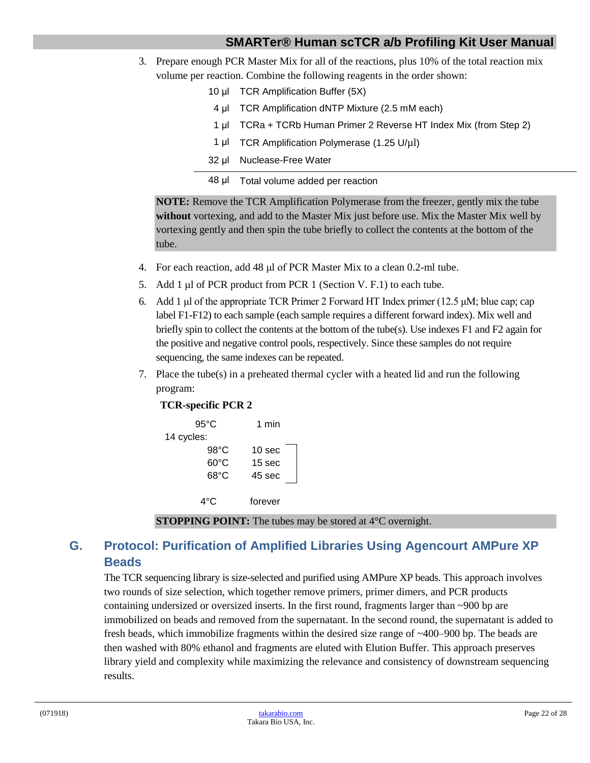- 3. Prepare enough PCR Master Mix for all of the reactions, plus 10% of the total reaction mix volume per reaction. Combine the following reagents in the order shown:
	- 10 μl TCR Amplification Buffer (5X)
		- 4 μl TCR Amplification dNTP Mixture (2.5 mM each)
		- 1 μl TCRa + TCRb Human Primer 2 Reverse HT Index Mix (from Step 2)
	- 1 μl TCR Amplification Polymerase (1.25 U/µl)
	- 32 μl Nuclease-Free Water
	- 48 μl Total volume added per reaction

**NOTE:** Remove the TCR Amplification Polymerase from the freezer, gently mix the tube **without** vortexing, and add to the Master Mix just before use. Mix the Master Mix well by vortexing gently and then spin the tube briefly to collect the contents at the bottom of the tube.

- 4. For each reaction, add 48 μl of PCR Master Mix to a clean 0.2-ml tube.
- 5. Add 1 μl of PCR product from PCR 1 (Section V. F.1) to each tube.
- 6. Add 1 μl of the appropriate TCR Primer 2 Forward HT Index primer (12.5 μM; blue cap; cap label F1-F12) to each sample (each sample requires a different forward index). Mix well and briefly spin to collect the contents at the bottom of the tube(s). Use indexes F1 and F2 again for the positive and negative control pools, respectively. Since these samples do not require sequencing, the same indexes can be repeated.
- 7. Place the tube(s) in a preheated thermal cycler with a heated lid and run the following program:

#### **TCR-specific PCR 2**

| $95^{\circ}$ C |                | 1 min             |  |
|----------------|----------------|-------------------|--|
| 14 cycles:     |                |                   |  |
|                | $98^{\circ}$ C | 10 <sub>sec</sub> |  |
|                | $60^{\circ}$ C | 15 <sub>sec</sub> |  |
|                | $68^{\circ}$ C | 45 sec            |  |
|                |                |                   |  |
|                | 4°€            | forever           |  |

**STOPPING POINT:** The tubes may be stored at 4<sup>o</sup>C overnight.

# <span id="page-21-0"></span>**G. Protocol: Purification of Amplified Libraries Using Agencourt AMPure XP Beads**

The TCR sequencing library is size-selected and purified using AMPure XP beads. This approach involves two rounds of size selection, which together remove primers, primer dimers, and PCR products containing undersized or oversized inserts. In the first round, fragments larger than ~900 bp are immobilized on beads and removed from the supernatant. In the second round, the supernatant is added to fresh beads, which immobilize fragments within the desired size range of ~400–900 bp. The beads are then washed with 80% ethanol and fragments are eluted with Elution Buffer. This approach preserves library yield and complexity while maximizing the relevance and consistency of downstream sequencing results.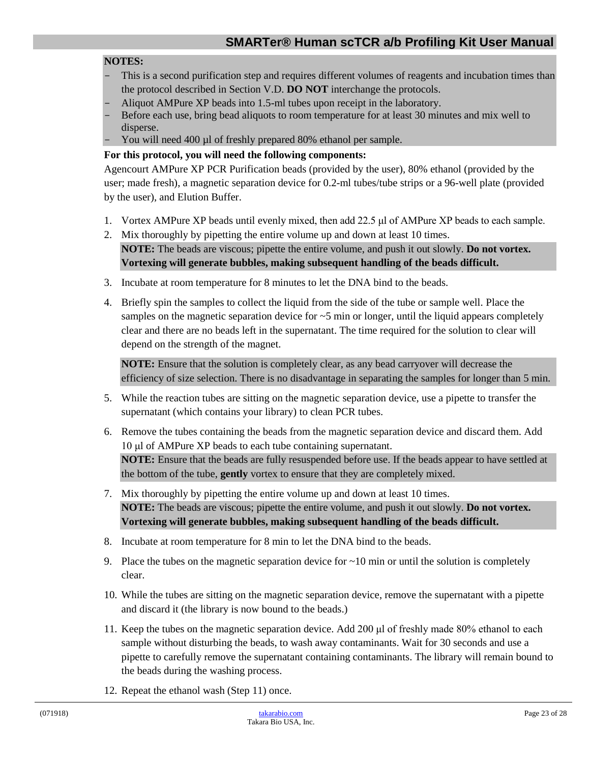#### **NOTES:**

- This is a second purification step and requires different volumes of reagents and incubation times than the protocol described in Section V.D. **DO NOT** interchange the protocols.
- Aliquot AMPure XP beads into 1.5-ml tubes upon receipt in the laboratory.
- Before each use, bring bead aliquots to room temperature for at least 30 minutes and mix well to disperse.
- You will need 400 µl of freshly prepared 80% ethanol per sample.

#### **For this protocol, you will need the following components:**

Agencourt AMPure XP PCR Purification beads (provided by the user), 80% ethanol (provided by the user; made fresh), a magnetic separation device for 0.2-ml tubes/tube strips or a 96-well plate (provided by the user), and Elution Buffer.

- 1. Vortex AMPure XP beads until evenly mixed, then add 22.5 μl of AMPure XP beads to each sample.
- 2. Mix thoroughly by pipetting the entire volume up and down at least 10 times. **NOTE:** The beads are viscous; pipette the entire volume, and push it out slowly. **Do not vortex. Vortexing will generate bubbles, making subsequent handling of the beads difficult.**
- 3. Incubate at room temperature for 8 minutes to let the DNA bind to the beads.
- 4. Briefly spin the samples to collect the liquid from the side of the tube or sample well. Place the samples on the magnetic separation device for  $\sim$  5 min or longer, until the liquid appears completely clear and there are no beads left in the supernatant. The time required for the solution to clear will depend on the strength of the magnet.

**NOTE:** Ensure that the solution is completely clear, as any bead carryover will decrease the efficiency of size selection. There is no disadvantage in separating the samples for longer than 5 min.

- 5. While the reaction tubes are sitting on the magnetic separation device, use a pipette to transfer the supernatant (which contains your library) to clean PCR tubes.
- 6. Remove the tubes containing the beads from the magnetic separation device and discard them. Add 10 μl of AMPure XP beads to each tube containing supernatant. **NOTE:** Ensure that the beads are fully resuspended before use. If the beads appear to have settled at the bottom of the tube, **gently** vortex to ensure that they are completely mixed.
- 7. Mix thoroughly by pipetting the entire volume up and down at least 10 times. **NOTE:** The beads are viscous; pipette the entire volume, and push it out slowly. **Do not vortex. Vortexing will generate bubbles, making subsequent handling of the beads difficult.**
- 8. Incubate at room temperature for 8 min to let the DNA bind to the beads.
- 9. Place the tubes on the magnetic separation device for  $\sim$  10 min or until the solution is completely clear.
- 10. While the tubes are sitting on the magnetic separation device, remove the supernatant with a pipette and discard it (the library is now bound to the beads.)
- 11. Keep the tubes on the magnetic separation device. Add 200 μl of freshly made 80% ethanol to each sample without disturbing the beads, to wash away contaminants. Wait for 30 seconds and use a pipette to carefully remove the supernatant containing contaminants. The library will remain bound to the beads during the washing process.
- 12. Repeat the ethanol wash (Step 11) once.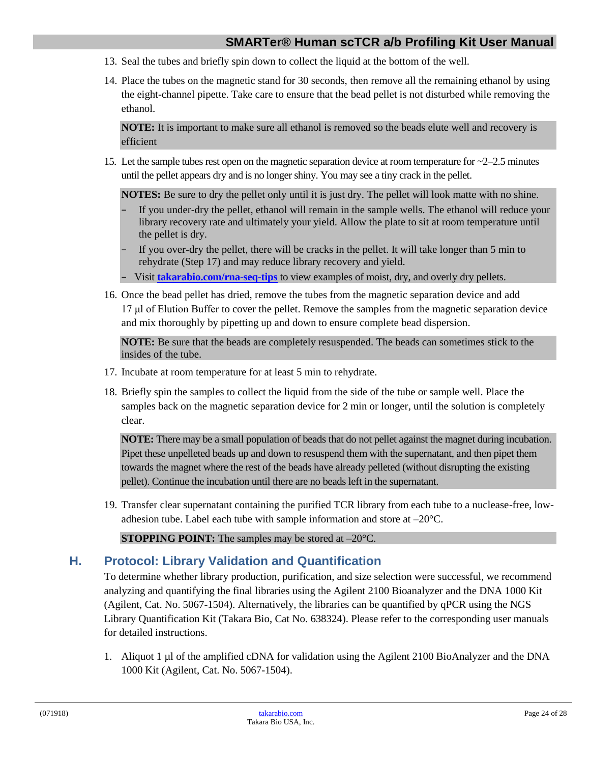- 13. Seal the tubes and briefly spin down to collect the liquid at the bottom of the well.
- 14. Place the tubes on the magnetic stand for 30 seconds, then remove all the remaining ethanol by using the eight-channel pipette. Take care to ensure that the bead pellet is not disturbed while removing the ethanol.

**NOTE:** It is important to make sure all ethanol is removed so the beads elute well and recovery is efficient

15. Let the sample tubes rest open on the magnetic separation device at room temperature for  $\sim$ 2–2.5 minutes until the pellet appears dry and is no longer shiny. You may see a tiny crack in the pellet.

**NOTES:** Be sure to dry the pellet only until it is just dry. The pellet will look matte with no shine.

- If you under-dry the pellet, ethanol will remain in the sample wells. The ethanol will reduce your library recovery rate and ultimately your yield. Allow the plate to sit at room temperature until the pellet is dry.
- If you over-dry the pellet, there will be cracks in the pellet. It will take longer than 5 min to rehydrate (Step 17) and may reduce library recovery and yield.
- − Visit **[takarabio.com/rna-seq-tips](https://www.takarabio.com/learning-centers/next-generation-sequencing/faqs-and-tips/get-smarter-tools-and-tips-for-rna-seq)** to view examples of moist, dry, and overly dry pellets.
- 16. Once the bead pellet has dried, remove the tubes from the magnetic separation device and add 17 μl of Elution Buffer to cover the pellet. Remove the samples from the magnetic separation device and mix thoroughly by pipetting up and down to ensure complete bead dispersion.

**NOTE:** Be sure that the beads are completely resuspended. The beads can sometimes stick to the insides of the tube.

- 17. Incubate at room temperature for at least 5 min to rehydrate.
- 18. Briefly spin the samples to collect the liquid from the side of the tube or sample well. Place the samples back on the magnetic separation device for 2 min or longer, until the solution is completely clear.

**NOTE:** There may be a small population of beads that do not pellet against the magnet during incubation. Pipet these unpelleted beads up and down to resuspend them with the supernatant, and then pipet them towards the magnet where the rest of the beads have already pelleted (without disrupting the existing pellet). Continue the incubation until there are no beads left in the supernatant.

19. Transfer clear supernatant containing the purified TCR library from each tube to a nuclease-free, lowadhesion tube. Label each tube with sample information and store at –20°C.

**STOPPING POINT:** The samples may be stored at  $-20^{\circ}$ C.

# <span id="page-23-0"></span>**H. Protocol: Library Validation and Quantification**

To determine whether library production, purification, and size selection were successful, we recommend analyzing and quantifying the final libraries using the Agilent 2100 Bioanalyzer and the DNA 1000 Kit (Agilent, Cat. No. 5067-1504). Alternatively, the libraries can be quantified by qPCR using the NGS Library Quantification Kit (Takara Bio, Cat No. 638324). Please refer to the corresponding user manuals for detailed instructions.

1. Aliquot 1 µl of the amplified cDNA for validation using the Agilent 2100 BioAnalyzer and the DNA 1000 Kit (Agilent, Cat. No. 5067-1504).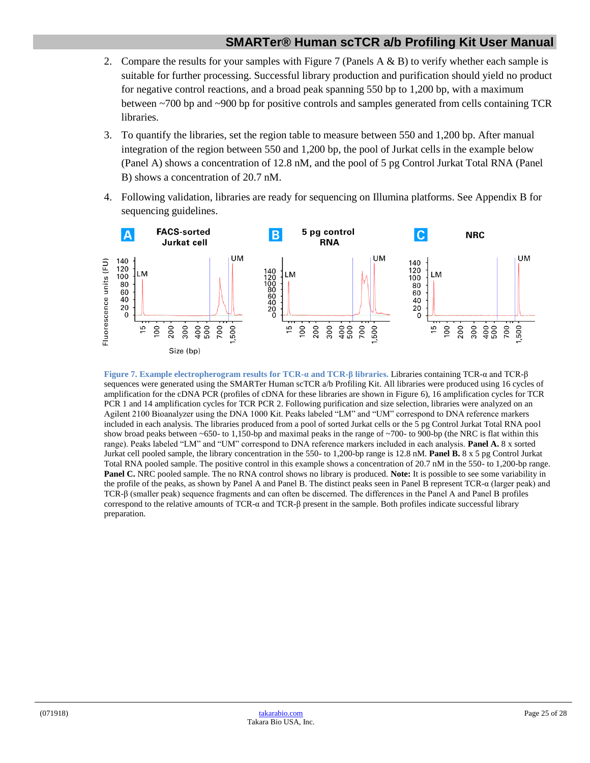- 2. Compare the results for your samples with Figure 7 (Panels  $A \& B$ ) to verify whether each sample is suitable for further processing. Successful library production and purification should yield no product for negative control reactions, and a broad peak spanning 550 bp to 1,200 bp, with a maximum between ~700 bp and ~900 bp for positive controls and samples generated from cells containing TCR libraries.
- 3. To quantify the libraries, set the region table to measure between 550 and 1,200 bp. After manual integration of the region between 550 and 1,200 bp, the pool of Jurkat cells in the example below (Panel A) shows a concentration of 12.8 nM, and the pool of 5 pg Control Jurkat Total RNA (Panel B) shows a concentration of 20.7 nM.
- 4. Following validation, libraries are ready for sequencing on Illumina platforms. See Appendix B for sequencing guidelines.



<span id="page-24-1"></span><span id="page-24-0"></span>**Figure 7. Example electropherogram results for TCR-α and TCR-β libraries.** Libraries containing TCR-α and TCR-β sequences were generated using the SMARTer Human scTCR a/b Profiling Kit. All libraries were produced using 16 cycles of amplification for the cDNA PCR (profiles of cDNA for these libraries are shown in Figure 6), 16 amplification cycles for TCR PCR 1 and 14 amplification cycles for TCR PCR 2. Following purification and size selection, libraries were analyzed on an Agilent 2100 Bioanalyzer using the DNA 1000 Kit. Peaks labeled "LM" and "UM" correspond to DNA reference markers included in each analysis. The libraries produced from a pool of sorted Jurkat cells or the 5 pg Control Jurkat Total RNA pool show broad peaks between ~650- to 1,150-bp and maximal peaks in the range of ~700- to 900-bp (the NRC is flat within this range). Peaks labeled "LM" and "UM" correspond to DNA reference markers included in each analysis. **Panel A.** 8 x sorted Jurkat cell pooled sample, the library concentration in the 550- to 1,200-bp range is 12.8 nM. **Panel B.** 8 x 5 pg Control Jurkat Total RNA pooled sample. The positive control in this example shows a concentration of 20.7 nM in the 550- to 1,200-bp range. **Panel C.** NRC pooled sample. The no RNA control shows no library is produced. **Note:** It is possible to see some variability in the profile of the peaks, as shown by Panel A and Panel B. The distinct peaks seen in Panel B represent TCR-α (larger peak) and TCR-β (smaller peak) sequence fragments and can often be discerned. The differences in the Panel A and Panel B profiles correspond to the relative amounts of TCR-α and TCR-β present in the sample. Both profiles indicate successful library preparation.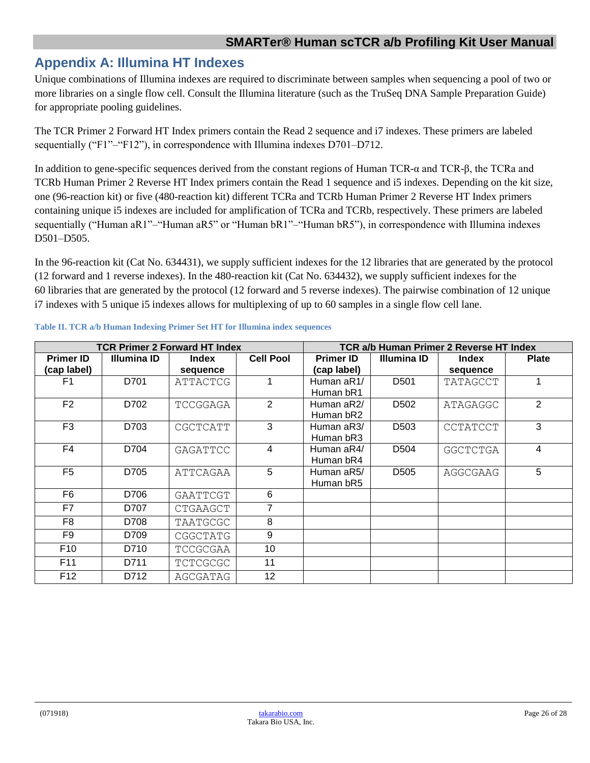# **Appendix A: Illumina HT Indexes**

Unique combinations of Illumina indexes are required to discriminate between samples when sequencing a pool of two or more libraries on a single flow cell. Consult the Illumina literature (such as the TruSeq DNA Sample Preparation Guide) for appropriate pooling guidelines.

The TCR Primer 2 Forward HT Index primers contain the Read 2 sequence and i7 indexes. These primers are labeled sequentially ("F1"–"F12"), in correspondence with Illumina indexes D701–D712.

In addition to gene-specific sequences derived from the constant regions of Human TCR-α and TCR-β, the TCRa and TCRb Human Primer 2 Reverse HT Index primers contain the Read 1 sequence and i5 indexes. Depending on the kit size, one (96-reaction kit) or five (480-reaction kit) different TCRa and TCRb Human Primer 2 Reverse HT Index primers containing unique i5 indexes are included for amplification of TCRa and TCRb, respectively. These primers are labeled sequentially ("Human aR1"-"Human aR5" or "Human bR1"-"Human bR5"), in correspondence with Illumina indexes D501–D505.

In the 96-reaction kit (Cat No. 634431), we supply sufficient indexes for the 12 libraries that are generated by the protocol (12 forward and 1 reverse indexes). In the 480-reaction kit (Cat No. 634432), we supply sufficient indexes for the 60 libraries that are generated by the protocol (12 forward and 5 reverse indexes). The pairwise combination of 12 unique i7 indexes with 5 unique i5 indexes allows for multiplexing of up to 60 samples in a single flow cell lane.

<span id="page-25-0"></span>

| <b>TCR Primer 2 Forward HT Index</b> |                    |                 |                         | TCR a/b Human Primer 2 Reverse HT Index |                    |                 |              |
|--------------------------------------|--------------------|-----------------|-------------------------|-----------------------------------------|--------------------|-----------------|--------------|
| <b>Primer ID</b>                     | <b>Illumina ID</b> | <b>Index</b>    | <b>Cell Pool</b>        | <b>Primer ID</b>                        | <b>Illumina ID</b> | <b>Index</b>    | <b>Plate</b> |
| (cap label)                          |                    | sequence        |                         | (cap label)                             |                    | sequence        |              |
| F <sub>1</sub>                       | D701               | ATTACTCG        |                         | Human aR1/                              | D <sub>501</sub>   | TATAGCCT        |              |
|                                      |                    |                 |                         | Human bR1                               |                    |                 |              |
| F <sub>2</sub>                       | D702               | TCCGGAGA        | 2                       | Human aR2/                              | D <sub>502</sub>   | ATAGAGGC        | 2            |
|                                      |                    |                 |                         | Human bR2                               |                    |                 |              |
| F <sub>3</sub>                       | D703               | CGCTCATT        | 3                       | Human aR3/                              | D <sub>503</sub>   | <b>CCTATCCT</b> | 3            |
|                                      |                    |                 |                         | Human bR3                               |                    |                 |              |
| F <sub>4</sub>                       | D704               | GAGATTCC        | $\overline{\mathbf{4}}$ | Human aR4/                              | D <sub>504</sub>   | <b>GGCTCTGA</b> | 4            |
|                                      |                    |                 |                         | Human bR4                               |                    |                 |              |
| F <sub>5</sub>                       | D705               | ATTCAGAA        | 5                       | Human aR5/                              | D <sub>505</sub>   | AGGCGAAG        | 5            |
|                                      |                    |                 |                         | Human bR5                               |                    |                 |              |
| F <sub>6</sub>                       | D706               | GAATTCGT        | 6                       |                                         |                    |                 |              |
| F7                                   | D707               | CTGAAGCT        |                         |                                         |                    |                 |              |
| F <sub>8</sub>                       | D708               | TAATGCGC        | 8                       |                                         |                    |                 |              |
| F <sub>9</sub>                       | D709               | CGGCTATG        | 9                       |                                         |                    |                 |              |
| F <sub>10</sub>                      | D710               | TCCGCGAA        | 10                      |                                         |                    |                 |              |
| F11                                  | D711               | <b>TCTCGCGC</b> | 11                      |                                         |                    |                 |              |
| F <sub>12</sub>                      | D712               | AGCGATAG        | 12 <sup>2</sup>         |                                         |                    |                 |              |

#### <span id="page-25-1"></span>**Table II. TCR a/b Human Indexing Primer Set HT for Illumina index sequences**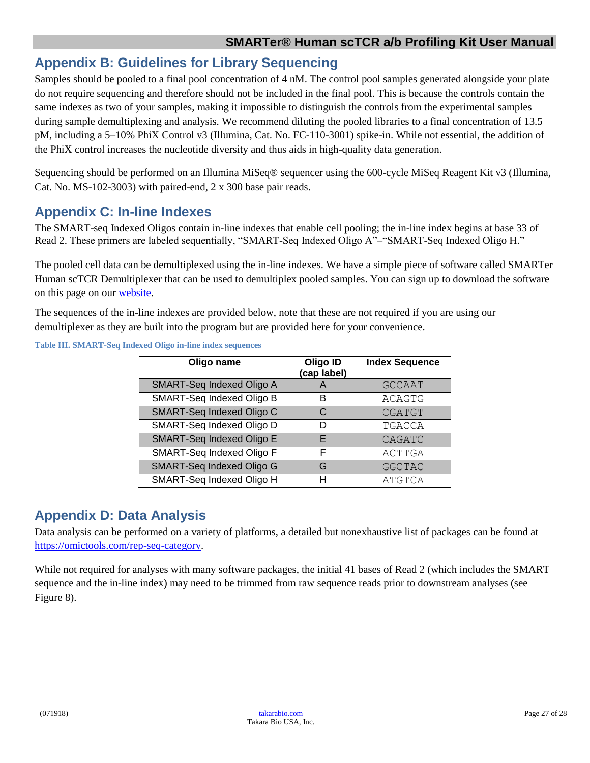# **Appendix B: Guidelines for Library Sequencing**

Samples should be pooled to a final pool concentration of 4 nM. The control pool samples generated alongside your plate do not require sequencing and therefore should not be included in the final pool. This is because the controls contain the same indexes as two of your samples, making it impossible to distinguish the controls from the experimental samples during sample demultiplexing and analysis. We recommend diluting the pooled libraries to a final concentration of 13.5 pM, including a 5–10% PhiX Control v3 (Illumina, Cat. No. FC-110-3001) spike-in. While not essential, the addition of the PhiX control increases the nucleotide diversity and thus aids in high-quality data generation.

Sequencing should be performed on an Illumina MiSeq® sequencer using the 600-cycle MiSeq Reagent Kit v3 (Illumina, Cat. No. MS-102-3003) with paired-end, 2 x 300 base pair reads.

# <span id="page-26-0"></span>**Appendix C: In-line Indexes**

The SMART-seq Indexed Oligos contain in-line indexes that enable cell pooling; the in-line index begins at base 33 of Read 2. These primers are labeled sequentially, "SMART-Seq Indexed Oligo A"–"SMART-Seq Indexed Oligo H."

The pooled cell data can be demultiplexed using the in-line indexes. We have a simple piece of software called SMARTer Human scTCR Demultiplexer that can be used to demultiplex pooled samples. You can sign up to download the software on this page on our [website.](http://www.takarabio.com/hscTCR_demultiplexer)

The sequences of the in-line indexes are provided below, note that these are not required if you are using our demultiplexer as they are built into the program but are provided here for your convenience.

| Oligo name                       | Oligo ID<br>(cap label) | <b>Index Sequence</b> |
|----------------------------------|-------------------------|-----------------------|
| SMART-Seq Indexed Oligo A        | Α                       | <b>GCCAAT</b>         |
| <b>SMART-Seq Indexed Oligo B</b> | B                       | ACAGTG                |
| <b>SMART-Seq Indexed Oligo C</b> | C                       | <b>CGATGT</b>         |
| SMART-Seq Indexed Oligo D        | D                       | TGACCA                |
| SMART-Seq Indexed Oligo E        | F                       | <b>CAGATC</b>         |
| SMART-Seq Indexed Oligo F        | F                       | ACTTGA                |
| SMART-Seq Indexed Oligo G        | G                       | <b>GGCTAC</b>         |
| SMART-Seq Indexed Oligo H        | н                       | ATGTCA                |

<span id="page-26-2"></span>**Table III. SMART-Seq Indexed Oligo in-line index sequences**

# <span id="page-26-1"></span>**Appendix D: Data Analysis**

Data analysis can be performed on a variety of platforms, a detailed but nonexhaustive list of packages can be found at [https://omictools.com/rep-seq-category.](https://omictools.com/rep-seq-category)

While not required for analyses with many software packages, the initial 41 bases of Read 2 (which includes the SMART sequence and the in-line index) may need to be trimmed from raw sequence reads prior to downstream analyses (see Figure 8).